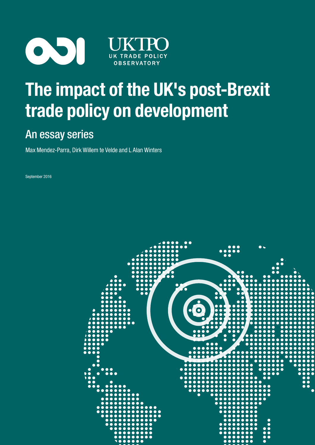

# The impact of the UK's post-Brexit trade policy on development

## An essay series

Max Mendez-Parra, Dirk Willem te Velde and L Alan Winters

September 2016

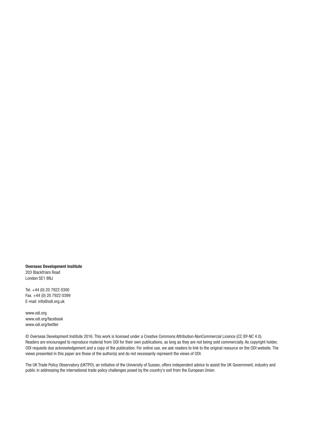Overseas Development Institute 203 Blackfriars Road London SE1 8NJ

Tel. +44 (0) 20 7922 0300 Fax. +44 (0) 20 7922 0399 E-mail: [info@odi.org.uk](mailto:info@odi.org.uk)

<www.odi.org> <www.odi.org/facebook> <www.odi.org/twitter>

© Overseas Development Institute 2016. This work is licensed under a Creative Commons Attribution-NonCommercial Licence (CC BY-NC 4.0). Readers are encouraged to reproduce material from ODI for their own publications, as long as they are not being sold commercially. As copyright holder, ODI requests due acknowledgement and a copy of the publication. For online use, we ask readers to link to the original resource on the ODI website. The views presented in this paper are those of the author(s) and do not necessarily represent the views of ODI.

The UK Trade Policy Observatory (UKTPO), an initiative of the University of Sussex, offers independent advice to assist the UK Government, industry and public in addressing the international trade policy challenges posed by the country's exit from the European Union.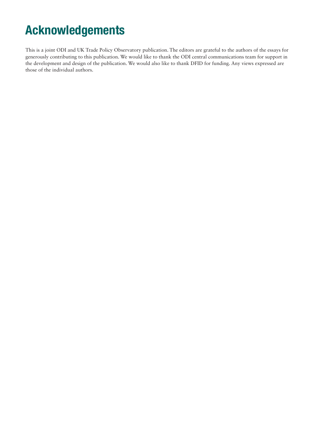# Acknowledgements

This is a joint ODI and UK Trade Policy Observatory publication. The editors are grateful to the authors of the essays for generously contributing to this publication. We would like to thank the ODI central communications team for support in the development and design of the publication. We would also like to thank DFID for funding. Any views expressed are those of the individual authors.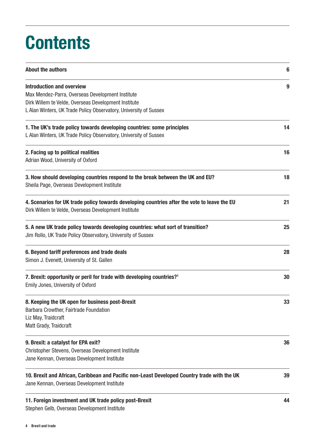# **Contents**

| <b>About the authors</b>                                                                                                                             | 6  |
|------------------------------------------------------------------------------------------------------------------------------------------------------|----|
| <b>Introduction and overview</b><br>Max Mendez-Parra, Overseas Development Institute                                                                 | 9  |
| Dirk Willem te Velde, Overseas Development Institute<br>L Alan Winters, UK Trade Policy Observatory, University of Sussex                            |    |
| 1. The UK's trade policy towards developing countries: some principles<br>L Alan Winters, UK Trade Policy Observatory, University of Sussex          | 14 |
| 2. Facing up to political realities<br>Adrian Wood, University of Oxford                                                                             | 16 |
| 3. How should developing countries respond to the break between the UK and EU?<br>Sheila Page, Overseas Development Institute                        | 18 |
| 4. Scenarios for UK trade policy towards developing countries after the vote to leave the EU<br>Dirk Willem te Velde, Overseas Development Institute | 21 |
| 5. A new UK trade policy towards developing countries: what sort of transition?<br>Jim Rollo, UK Trade Policy Observatory, University of Sussex      | 25 |
| 6. Beyond tariff preferences and trade deals<br>Simon J. Evenett, University of St. Gallen                                                           | 28 |
| 7. Brexit: opportunity or peril for trade with developing countries? <sup>1</sup><br>Emily Jones, University of Oxford                               | 30 |
| 8. Keeping the UK open for business post-Brexit<br>Barbara Crowther, Fairtrade Foundation<br>Liz May, Traidcraft<br>Matt Grady, Traidcraft           | 33 |
| 9. Brexit: a catalyst for EPA exit?<br>Christopher Stevens, Overseas Development Institute<br>Jane Kennan, Overseas Development Institute            | 36 |
| 10. Brexit and African, Caribbean and Pacific non-Least Developed Country trade with the UK<br>Jane Kennan, Overseas Development Institute           | 39 |
| 11. Foreign investment and UK trade policy post-Brexit<br>Stephen Gelb, Overseas Development Institute                                               | 44 |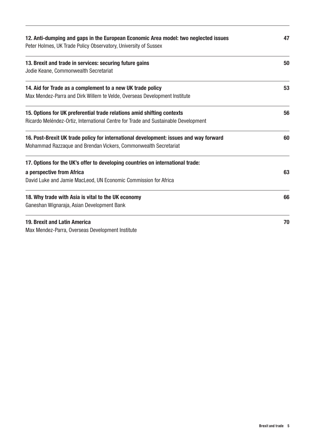| 12. Anti-dumping and gaps in the European Economic Area model: two neglected issues<br>Peter Holmes, UK Trade Policy Observatory, University of Sussex |    |  |  |
|--------------------------------------------------------------------------------------------------------------------------------------------------------|----|--|--|
| 13. Brexit and trade in services: securing future gains                                                                                                | 50 |  |  |
| Jodie Keane, Commonwealth Secretariat                                                                                                                  |    |  |  |
| 14. Aid for Trade as a complement to a new UK trade policy                                                                                             | 53 |  |  |
| Max Mendez-Parra and Dirk Willem te Velde, Overseas Development Institute                                                                              |    |  |  |
| 15. Options for UK preferential trade relations amid shifting contexts                                                                                 | 56 |  |  |
| Ricardo Meléndez-Ortiz, International Centre for Trade and Sustainable Development                                                                     |    |  |  |
| 16. Post-Brexit UK trade policy for international development: issues and way forward                                                                  | 60 |  |  |
| Mohammad Razzaque and Brendan Vickers, Commonwealth Secretariat                                                                                        |    |  |  |
| 17. Options for the UK's offer to developing countries on international trade:                                                                         |    |  |  |
| a perspective from Africa                                                                                                                              | 63 |  |  |
| David Luke and Jamie MacLeod, UN Economic Commission for Africa                                                                                        |    |  |  |
| 18. Why trade with Asia is vital to the UK economy                                                                                                     | 66 |  |  |
| Ganeshan Wignaraja, Asian Development Bank                                                                                                             |    |  |  |
| 19. Brexit and Latin America                                                                                                                           | 70 |  |  |
| Max Mendez-Parra, Overseas Development Institute                                                                                                       |    |  |  |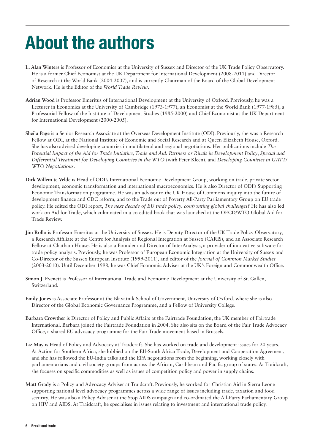# <span id="page-5-0"></span>About the authors

- **L. Alan Winters** is Professor of Economics at the University of Sussex and Director of the UK Trade Policy Observatory. He is a former Chief Economist at the UK Department for International Development (2008-2011) and Director of Research at the World Bank (2004-2007), and is currently Chairman of the Board of the Global Development Network. He is the Editor of the *World Trade Review*.
- **Adrian Wood** is Professor Emeritus of International Development at the University of Oxford. Previously, he was a Lecturer in Economics at the University of Cambridge (1973-1977), an Economist at the World Bank (1977-1985), a Professorial Fellow of the Institute of Development Studies (1985-2000) and Chief Economist at the UK Department for International Development (2000-2005).
- **Sheila Page** is a Senior Research Associate at the Overseas Development Institute (ODI). Previously, she was a Research Fellow at ODI, at the National Institute of Economic and Social Research and at Queen Elizabeth House, Oxford. She has also advised developing countries in multilateral and regional negotiations. Her publications include *The Potential Impact of the Aid for Trade Initiative, Trade and Aid: Partners or Rivals in Development Policy*, *Special and Differential Treatment for Developing Countries in the WTO* (with Peter Kleen), and *Developing Countries in GATT/ WTO Negotiations.*
- **Dirk Willem te Velde** is Head of ODI's International Economic Development Group, working on trade, private sector development, economic transformation and international macroeconomics. He is also Director of ODI's Supporting Economic Transformation programme. He was an advisor to the UK House of Commons inquiry into the future of development finance and CDC reform, and to the Trade out of Poverty All-Party Parliamentary Group on EU trade policy. He edited the ODI report, *The next decade of EU trade policy: confronting global challenges?* He has also led work on Aid for Trade, which culminated in a co-edited book that was launched at the OECD/WTO Global Aid for Trade Review.
- **Jim Rollo** is Professor Emeritus at the University of Sussex. He is Deputy Director of the UK Trade Policy Observatory, a Research Affiliate at the Centre for Analysis of Regional Integration at Sussex (CARIS), and an Associate Research Fellow at Chatham House. He is also a Founder and Director of InterAnalysis, a provider of innovative software for trade policy analysis. Previously, he was Professor of European Economic Integration at the University of Sussex and Co-Director of the Sussex European Institute (1999-2011), and editor of the *Journal of Common Market Studies* (2003-2010). Until December 1998, he was Chief Economic Adviser at the UK's Foreign and Commonwealth Office.
- **Simon J. Evenett** is Professor of International Trade and Economic Development at the University of St. Gallen, Switzerland.
- **Emily Jones** is Associate Professor at the [Blavatnik School of Government](http://www.bsg.ox.ac.uk/people/emily-jones), University of Oxford, where she is also Director of the Global Economic Governance Programme, and a Fellow of University College.
- **Barbara Crowther** is Director of Policy and Public Affairs at the Fairtrade Foundation, the UK member of Fairtrade International. Barbara joined the Fairtrade Foundation in 2004. She also sits on the Board of the Fair Trade Advocacy Office, a shared EU advocacy programme for the Fair Trade movement based in Brussels.
- **Liz May** is Head of Policy and Advocacy at Traidcraft. She has worked on trade and development issues for 20 years. At Action for Southern Africa, she lobbied on the EU-South Africa Trade, Development and Cooperation Agreement, and she has followed the EU-India talks and the EPA negotiations from the beginning, working closely with parliamentarians and civil society groups from across the African, Caribbean and Pacific group of states. At Traidcraft, she focuses on specific commodities as well as issues of competition policy and power in supply chains.
- **Matt Grady** is a Policy and Advocacy Adviser at Traidcraft. Previously, he worked for Christian Aid in Sierra Leone supporting national level advocacy programmes across a wide range of issues including trade, taxation and food security. He was also a Policy Adviser at the Stop AIDS campaign and co-ordinated the All-Party Parliamentary Group on HIV and AIDS. At Traidcraft, he specialises in issues relating to investment and international trade policy.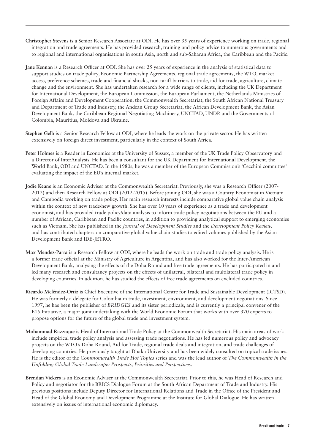- **Christopher Stevens** is a Senior Research Associate at ODI. He has over 35 years of experience working on trade, regional integration and trade agreements. He has provided research, training and policy advice to numerous governments and to regional and international organisations in south Asia, north and sub-Saharan Africa, the Caribbean and the Pacific.
- **Jane Kennan** is a Research Officer at ODI. She has over 25 years of experience in the analysis of statistical data to support studies on trade policy, Economic Partnership Agreements, regional trade agreements, the WTO, market access, preference schemes, trade and financial shocks, non-tariff barriers to trade, aid for trade, agriculture, climate change and the environment. She has undertaken research for a wide range of clients, including the UK Department for International Development, the European Commission, the European Parliament, the Netherlands Ministries of Foreign Affairs and Development Cooperation, the Commonwealth Secretariat, the South African National Treasury and Department of Trade and Industry, the Andean Group Secretariat, the African Development Bank, the Asian Development Bank, the Caribbean Regional Negotiating Machinery, UNCTAD, UNDP, and the Governments of Colombia, Mauritius, Moldova and Ukraine.
- **Stephen Gelb** is a Senior Research Fellow at ODI, where he leads the work on the private sector. He has written extensively on foreign direct investment, particularly in the context of South Africa.
- **Peter Holmes** is a Reader in Economics at the University of Sussex, a member of the UK Trade Policy Observatory and a Director of InterAnalysis. He has been a consultant for the UK Department for International Development, the World Bank, ODI and UNCTAD. In the 1980s, he was a member of the European Commission's 'Cecchini committee' evaluating the impact of the EU's internal market.
- **Jodie Keane** is an Economic Adviser at the Commonwealth Secretariat. Previously, she was a Research Officer (2007- 2012) and then Research Fellow at ODI (2012-2015). Before joining ODI, she was a Country Economist in Vietnam and Cambodia working on trade policy. Her main research interests include comparative global value chain analysis within the context of new trade/new growth. She has over 10 years of experience as a trade and development economist, and has provided trade policy/data analysis to inform trade policy negotiations between the EU and a number of African, Caribbean and Pacific countries, in addition to providing analytical support to emerging economies such as Vietnam. She has published in the *Journal of Development Studies* and the *Development Policy Review,*  and has contributed chapters on comparative global value chain studies to edited volumes published by the Asian Development Bank and IDE-JETRO.
- **Max Mendez-Parra** is a Research Fellow at ODI, where he leads the work on trade and trade policy analysis. He is a former trade official at the Ministry of Agriculture in Argentina, and has also worked for the Inter-American Development Bank, analysing the effects of the Doha Round and free trade agreements. He has participated in and led many research and consultancy projects on the effects of unilateral, bilateral and multilateral trade policy in developing countries. In addition, he has studied the effects of free trade agreements on excluded countries.
- **Ricardo Meléndez-Ortiz** is Chief Executive of the International Centre for Trade and Sustainable Development (ICTSD). He was formerly a delegate for Colombia in trade, investment, environment, and development negotiations. Since 1997, he has been the publisher of *BRIDGES* and its sister periodicals, and is currently a principal convener of the E15 Initiative, a major joint undertaking with the World Economic Forum that works with over 370 experts to propose options for the future of the global trade and investment system.
- **Mohammad Razzaque** is Head of International Trade Policy at the Commonwealth Secretariat. His main areas of work include empirical trade policy analysis and assessing trade negotiations. He has led numerous policy and advocacy projects on the WTO's Doha Round, Aid for Trade, regional trade deals and integration, and trade challenges of developing countries. He previously taught at Dhaka University and has been widely consulted on topical trade issues. He is the editor of the *Commonwealth Trade Hot Topics* series and was the lead author of *The Commonwealth in the Unfolding Global Trade Landscape: Prospects, Priorities and Perspectives*.
- **Brendan Vickers** is an Economic Adviser at the Commonwealth Secretariat. Prior to this, he was Head of Research and Policy and negotiator for the BRICS Dialogue Forum at the South African Department of Trade and Industry. His previous positions include Deputy Director for International Relations and Trade in the Office of the President and Head of the Global Economy and Development Programme at the Institute for Global Dialogue. He has written extensively on issues of international economic diplomacy.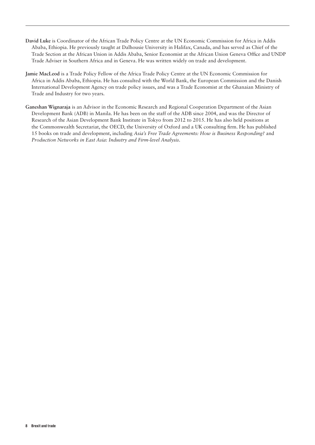- **David Luke** is Coordinator of the African Trade Policy Centre at the UN Economic Commission for Africa in Addis Ababa, Ethiopia. He previously taught at Dalhousie University in Halifax, Canada, and has served as Chief of the Trade Section at the African Union in Addis Ababa, Senior Economist at the African Union Geneva Office and UNDP Trade Adviser in Southern Africa and in Geneva. He was written widely on trade and development.
- **Jamie MacLeod** is a Trade Policy Fellow of the Africa Trade Policy Centre at the UN Economic Commission for Africa in Addis Ababa, Ethiopia. He has consulted with the World Bank, the European Commission and the Danish International Development Agency on trade policy issues, and was a Trade Economist at the Ghanaian Ministry of Trade and Industry for two years.
- **Ganeshan Wignaraja** is an Advisor in the Economic Research and Regional Cooperation Department of the Asian Development Bank (ADB) in Manila. He has been on the staff of the ADB since 2004, and was the Director of Research of the Asian Development Bank Institute in Tokyo from 2012 to 2015. He has also held positions at the Commonwealth Secretariat, the OECD, the University of Oxford and a UK consulting firm. He has published 15 books on trade and development, including *Asia's Free Trade Agreements: How is Business Responding?* and *Production Networks in East Asia: Industry and Firm-level Analysis*.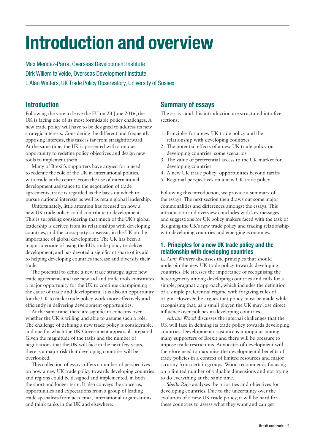# <span id="page-8-0"></span>Introduction and overview

Max Mendez-Parra, Overseas Development Institute Dirk Willem te Velde, Overseas Development Institute L Alan Winters, UK Trade Policy Observatory, University of Sussex

### Introduction

Following the vote to leave the EU on 23 June 2016, the UK is facing one of its most formidable policy challenges. A new trade policy will have to be designed to address its new strategic interests. Considering the different and frequently opposing interests, this task is far from straightforward. At the same time, the UK is presented with a unique opportunity to redefine policy objectives and design new tools to implement them.

Many of Brexit's supporters have argued for a need to redefine the role of the UK in international politics, with trade at the centre. From the use of international development assistance to the negotiation of trade agreements, trade is regarded as the basis on which to pursue national interests as well as retain global leadership.

Unfortunately, little attention has focused on how a new UK trade policy could contribute to development. This is surprising considering that much of the UK's global leadership is derived from its relationships with developing countries, and the cross-party consensus in the UK on the importance of global development. The UK has been a major advocate of using the EU's trade policy to deliver development, and has devoted a significant share of its aid to helping developing countries increase and diversify their trade.

The potential to define a new trade strategy, agree new trade agreements and use new aid and trade tools constitutes a major opportunity for the UK to continue championing the cause of trade and development. It is also an opportunity for the UK to make trade policy work more effectively and efficiently in delivering development opportunities.

At the same time, there are significant concerns over whether the UK is willing and able to assume such a role. The challenge of defining a new trade policy is considerable, and one for which the UK Government appears ill-prepared. Given the magnitude of the tasks and the number of negotiations that the UK will face in the next few years, there is a major risk that developing countries will be overlooked.

This collection of essays offers a number of perspectives on how a new UK trade policy towards developing countries and regions could be designed and implemented, in both the short and longer term. It also conveys the concerns, opportunities and expectations from a group of leading trade specialists from academia, international organisations and think tanks in the UK and elsewhere.

## Summary of essays

The essays and this introduction are structured into five sections:

- 1. Principles for a new UK trade policy and the relationship with developing countries
- 2. The potential effects of a new UK trade policy on developing countries: some scenarios
- 3. The value of preferential access to the UK market for developing countries
- 4. A new UK trade policy: opportunities beyond tariffs
- 5. Regional perspectives on a new UK trade policy

Following this introduction, we provide a summary of the essays. The next section then draws out some major commonalities and differences amongst the essays. This introduction and overview concludes with key messages and suggestions for UK policy makers faced with the task of designing the UK's new trade policy and trading relationship with developing countries and emerging economies.

#### 1. Principles for a new UK trade policy and the relationship with developing countries

*L. Alan Winters* discusses the principles that should underpin the new UK trade policy towards developing countries. He stresses the importance of recognising the heterogeneity among developing countries and calls for a simple, pragmatic approach, which includes the definition of a simple preferential regime with forgiving rules of origin. However, he argues that policy must be made while recognising that, as a small player, the UK may lose direct influence over policies in developing countries.

*Adrian Wood* discusses the internal challenges that the UK will face in defining its trade policy towards developing countries. Development assistance is unpopular among many supporters of Brexit and there will be pressure to impose trade restrictions. Advocates of development will therefore need to maximise the developmental benefits of trade policies in a context of limited resources and major scrutiny from certain groups. Wood recommends focusing on a limited number of valuable dimensions and not trying to do everything at the same time.

*Sheila Page* analyses the priorities and objectives for developing countries. Due to the uncertainty over the evolution of a new UK trade policy, it will be hard for these countries to assess what they want and can get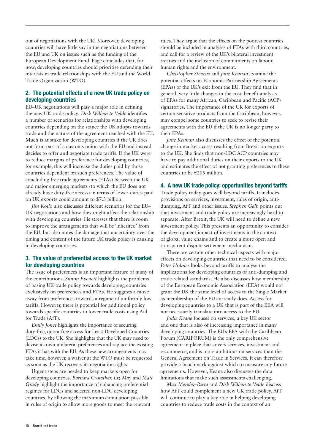out of negotiations with the UK. Moreover, developing countries will have little say in the negotiations between the EU and UK on issues such as the funding of the European Development Fund. Page concludes that, for now, developing countries should prioritise defending their interests in trade relationships with the EU and the World Trade Organization (WTO).

#### 2. The potential effects of a new UK trade policy on developing countries

EU–UK negotiations will play a major role in defining the new UK trade policy*. Dirk Willem te Velde* identifies a number of scenarios for relationships with developing countries depending on the stance the UK adopts towards trade and the nature of the agreement reached with the EU. Much is at stake for developing countries if the UK does not form part of a customs union with the EU and instead decides to offer and negotiate trade tariffs. If the UK were to reduce margins of preference for developing countries, for example, this will increase the duties paid by those countries dependent on such preferences. The value of concluding free trade agreements (FTAs) between the UK and major emerging markets (to which the EU does not already have duty-free access) in terms of lower duties paid on UK exports could amount to \$7.3 billion.

*Jim Rollo* also discusses different scenarios for the EU– UK negotiations and how they might affect the relationship with developing countries. He stresses that there is room to improve the arrangements that will be 'inherited' from the EU, but also notes the damage that uncertainty over the timing and content of the future UK trade policy is causing in developing countries.

#### 3. The value of preferential access to the UK market for developing countries

The issue of preferences is an important feature of many of the contributions. *Simon Evenett* highlights the problems of basing UK trade policy towards developing countries exclusively on preferences and FTAs. He suggests a move away from preferences towards a regime of uniformly low tariffs. However, there is potential for additional policy towards specific countries to lower trade costs using Aid for Trade (AfT).

*Emily Jones* highlights the importance of securing duty-free, quota-free access for Least Developed Countries (LDCs) to the UK. She highlights that the UK may need to devise its own unilateral preferences and replace the existing FTAs it has with the EU. As these new arrangements may take time, however, a waiver at the WTO must be requested as soon as the UK recovers its negotiation rights.

Urgent steps are needed to keep markets open for developing countries. *Barbara Crowther, Liz May* and *Matt Grady* highlight the importance of enhancing preferential regimes for LDCs and selected non-LDC developing countries, by allowing the maximum cumulation possible in rules of origin to allow more goods to meet the relevant

rules. They argue that the effects on the poorest countries should be included in analyses of FTAs with third countries, and call for a review of the UK's bilateral investment treaties and the inclusion of commitments on labour, human rights and the environment.

*Christopher Stevens* and *Jane Kennan* examine the potential effects on Economic Partnership Agreements (EPAs) of the UK's exit from the EU. They find that in general, very little changes in the cost–benefit analysis of EPAs for many African, Caribbean and Pacific (ACP) signatories. The importance of the UK for exports of certain sensitive products from the Caribbean, however, may compel some countries to seek to revise their agreements with the EU if the UK is no longer party to their EPAs.

*Jane Kennan* also discusses the effect of the potential change in market access resulting from Brexit on exports to the UK. She finds that non-LDC ACP countries may have to pay additional duties on their exports to the UK and estimates the effect of not granting preferences to these countries to be €205 million.

#### 4. A new UK trade policy: opportunities beyond tariffs

Trade policy today goes well beyond tariffs. It includes provisions on services, investment, rules of origin, antidumping, AfT and other issues. *Stephen Gelb* points out that investment and trade policy are increasingly hard to separate. After Brexit, the UK will need to define a new investment policy. This presents an opportunity to consider the development impact of investments in the context of global value chains and to create a more open and transparent dispute settlement mechanism.

There are certain other technical aspects with major effects on developing countries that need to be considered. *Peter Holmes* looks beyond tariffs to analyse the implications for developing countries of anti-dumping and trade-related standards. He also discusses how membership of the European Economic Association (EEA) would not grant the UK the same level of access to the Single Market as membership of the EU currently does. Access for developing countries to a UK that is part of the EEA will not necessarily translate into access to the EU.

*Jodie Keane* focuses on services, a key UK sector and one that is also of increasing importance in many developing countries. The EU's EPA with the Caribbean Forum (CARIFORUM) is the only comprehensive agreement in place that covers services, investment and e-commerce, and is more ambitious on services than the General Agreement on Trade in Services. It can therefore provide a benchmark against which to measure any future agreements. However, Keane also discusses the data limitations that make such assessments challenging.

*Max Mendez-Parra* and *Dirk Willem te Velde* discuss how AfT could complement a new UK trade policy. AfT will continue to play a key role in helping developing countries to reduce trade costs in the context of an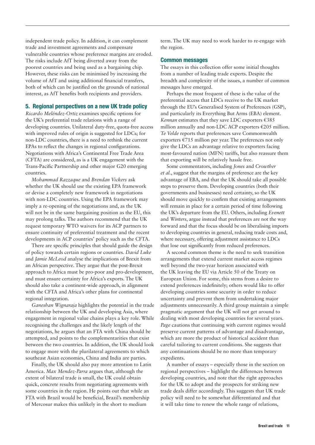independent trade policy. In addition, it can complement trade and investment agreements and compensate vulnerable countries whose preference margins are eroded. The risks include AfT being diverted away from the poorest countries and being used as a bargaining chip. However, these risks can be minimised by increasing the volume of AfT and using additional financial transfers, both of which can be justified on the grounds of national interest, as AfT benefits both recipients and providers.

#### 5. Regional perspectives on a new UK trade policy

*Ricardo Meléndez-Ortiz* examines specific options for the UK's preferential trade relations with a range of developing countries. Unilateral duty-free, quota-free access with improved rules of origin is suggested for LDCs; for non-LDC countries, there is a need to rethink the current EPAs to reflect the changes in regional configurations. Negotiations with Africa's Continental Free Trade Area (CFTA) are considered, as is a UK engagement with the Trans-Pacific Partnership and other major G20 emerging countries.

*Mohammad Razzaque* and *Brendan Vickers* ask whether the UK should use the existing EPA framework or devise a completely new framework in negotiations with non-LDC countries. Using the EPA framework may imply a re-opening of the negotiations and, as the UK will not be in the same bargaining position as the EU, this may prolong talks. The authors recommend that the UK request temporary WTO waivers for its ACP partners to ensure continuity of preferential treatment and the recent developments in ACP countries' policy such as the CFTA.

There are specific principles that should guide the design of policy towards certain regions or countries. *David Luke*  and *Jamie McLeod* analyse the implications of Brexit from an African perspective. They argue that the post-Brexit approach to Africa must be pro-poor and pro-development, and must ensure certainty for Africa's exports. The UK should also take a continent-wide approach, in alignment with the CFTA and Africa's other plans for continental regional integration.

*Ganeshan Wignaraja* highlights the potential in the trade relationship between the UK and developing Asia, where engagement in regional value chains plays a key role. While recognising the challenges and the likely length of the negotiations, he argues that an FTA with China should be attempted, and points to the complementarities that exist between the two countries. In addition, the UK should look to engage more with the plurilateral agreements to which southeast Asian economies, China and India are parties.

Finally, the UK should also pay more attention to Latin America. *Max Mendez-Parra* argues that, although the extent of bilateral trade is small, the UK could obtain quick, concrete results from negotiating agreements with some countries in the region. He points out that while an FTA with Brazil would be beneficial, Brazil's membership of Mercosur makes this unlikely in the short to medium

term. The UK may need to work harder to re-engage with the region.

#### Common messages

The essays in this collection offer some initial thoughts from a number of leading trade experts. Despite the breadth and complexity of the issues, a number of common messages have emerged.

Perhaps the most frequent of these is the value of the preferential access that LDCs receive to the UK market through the EU's Generalised System of Preferences (GSP), and particularly its Everything But Arms (EBA) element. *Kennan* estimates that they save LDC exporters €385 million annually and non-LDC ACP exporters €205 million. *Te Velde* reports that preferences save Commonwealth exporters €715 million per year. The preferences not only give the LDCs an advantage relative to exporters facing most-favoured nation (MFN) tariffs, but also reassure them that exporting will be relatively hassle free.

Some commentators, including *Jones* and *Crowther et al.*, suggest that the margins of preference are the key advantage of EBA, and that the UK should take all possible steps to preserve them. Developing countries (both their governments and businesses) need certainty, so the UK should move quickly to confirm that existing arrangements will remain in place for a certain period of time following the UK's departure from the EU. Others, including *Evenett* and *Winters*, argue instead that preferences are not the way forward and that the focus should be on liberalising imports to developing countries in general, reducing trade costs and, where necessary, offering adjustment assistance to LDCs that lose out significantly from reduced preferences.

A second common theme is the need to seek transition arrangements that extend current market access regimes well beyond the two-year horizon associated with the UK leaving the EU via Article 50 of the Treaty on European Union. For some, this stems from a desire to extend preferences indefinitely; others would like to offer developing countries some security in order to reduce uncertainty and prevent them from undertaking major adjustments unnecessarily. A third group maintain a simple pragmatic argument that the UK will not get around to dealing with most developing countries for several years. *Page* cautions that continuing with current regimes would preserve current patterns of advantage and disadvantage, which are more the product of historical accident than careful tailoring to current conditions. She suggests that any continuations should be no more than temporary expedients.

A number of essays – especially those in the section on regional perspectives – highlight the differences between developing countries, and note that the right approaches for the UK to adopt and the prospects for striking new trade deals differ accordingly. This suggests that UK trade policy will need to be somewhat differentiated and that it will take time to renew the whole range of relations,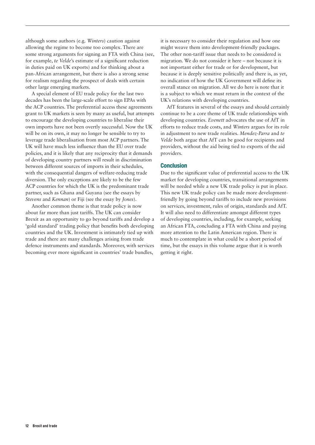although some authors (e.g. *Winters*) caution against allowing the regime to become too complex. There are some strong arguments for signing an FTA with China (see, for example, *te Velde*'s estimate of a significant reduction in duties paid on UK exports) and for thinking about a pan-African arrangement, but there is also a strong sense for realism regarding the prospect of deals with certain other large emerging markets.

A special element of EU trade policy for the last two decades has been the large-scale effort to sign EPAs with the ACP countries. The preferential access these agreements grant to UK markets is seen by many as useful, but attempts to encourage the developing countries to liberalise their own imports have not been overtly successful. Now the UK will be on its own, it may no longer be sensible to try to leverage trade liberalisation from most ACP partners. The UK will have much less influence than the EU over trade policies, and it is likely that any reciprocity that it demands of developing country partners will result in discrimination between different sources of imports in their schedules, with the consequential dangers of welfare-reducing trade diversion. The only exceptions are likely to be the few ACP countries for which the UK is the predominant trade partner, such as Ghana and Guyana (see the essays by *Stevens* and *Kennan*) or Fiji (see the essay by *Jones*).

Another common theme is that trade policy is now about far more than just tariffs. The UK can consider Brexit as an opportunity to go beyond tariffs and develop a 'gold standard' trading policy that benefits both developing countries and the UK. Investment is intimately tied up with trade and there are many challenges arising from trade defence instruments and standards. Moreover, with services becoming ever more significant in countries' trade bundles,

it is necessary to consider their regulation and how one might weave them into development-friendly packages. The other non-tariff issue that needs to be considered is migration. We do not consider it here – not because it is not important either for trade or for development, but because it is deeply sensitive politically and there is, as yet, no indication of how the UK Government will define its overall stance on migration. All we do here is note that it is a subject to which we must return in the context of the UK's relations with developing countries.

AfT features in several of the essays and should certainly continue to be a core theme of UK trade relationships with developing countries. *Evenett* advocates the use of AfT in efforts to reduce trade costs, and *Winters* argues for its role in adjustment to new trade realities. *Mendez-Parra* and *te Velde* both argue that AfT can be good for recipients and providers, without the aid being tied to exports of the aid providers.

#### Conclusion

Due to the significant value of preferential access to the UK market for developing countries, transitional arrangements will be needed while a new UK trade policy is put in place. This new UK trade policy can be made more developmentfriendly by going beyond tariffs to include new provisions on services, investment, rules of origin, standards and AfT. It will also need to differentiate amongst different types of developing countries, including, for example, seeking an African FTA, concluding a FTA with China and paying more attention to the Latin American region. There is much to contemplate in what could be a short period of time, but the essays in this volume argue that it is worth getting it right.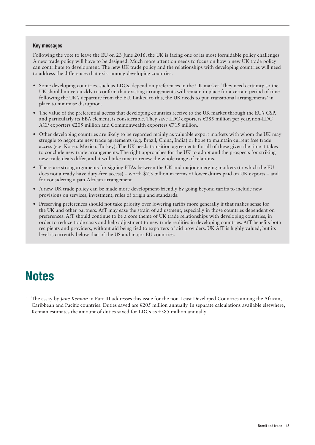#### Key messages

Following the vote to leave the EU on 23 June 2016, the UK is facing one of its most formidable policy challenges. A new trade policy will have to be designed. Much more attention needs to focus on how a new UK trade policy can contribute to development. The new UK trade policy and the relationships with developing countries will need to address the differences that exist among developing countries.

- **•** Some developing countries, such as LDCs, depend on preferences in the UK market. They need certainty so the UK should move quickly to confirm that existing arrangements will remain in place for a certain period of time following the UK's departure from the EU. Linked to this, the UK needs to put 'transitional arrangements' in place to minimise disruption.
- **•** The value of the preferential access that developing countries receive to the UK market through the EU's GSP, and particularly its EBA element, is considerable. They save LDC exporters €385 million per year, non-LDC ACP exporters  $\epsilon$ 205 million and Commonwealth exporters  $\epsilon$ 715 million.
- **•** Other developing countries are likely to be regarded mainly as valuable export markets with whom the UK may struggle to negotiate new trade agreements (e.g. Brazil, China, India) or hope to maintain current free trade access (e.g. Korea, Mexico, Turkey). The UK needs transition agreements for all of these given the time it takes to conclude new trade arrangements. The right approaches for the UK to adopt and the prospects for striking new trade deals differ, and it will take time to renew the whole range of relations.
- **•** There are strong arguments for signing FTAs between the UK and major emerging markets (to which the EU does not already have duty-free access) – worth \$7.3 billion in terms of lower duties paid on UK exports – and for considering a pan-African arrangement.
- **•** A new UK trade policy can be made more development-friendly by going beyond tariffs to include new provisions on services, investment, rules of origin and standards.
- **•** Preserving preferences should not take priority over lowering tariffs more generally if that makes sense for the UK and other partners. AfT may ease the strain of adjustment, especially in those countries dependent on preferences. AfT should continue to be a core theme of UK trade relationships with developing countries, in order to reduce trade costs and help adjustment to new trade realities in developing countries. AfT benefits both recipients and providers, without aid being tied to exporters of aid providers. UK AfT is highly valued, but its level is currently below that of the US and major EU countries.

## **Notes**

1 The essay by *Jane Kennan* in Part III addresses this issue for the non-Least Developed Countries among the African, Caribbean and Pacific countries. Duties saved are  $\epsilon$ 205 million annually. In separate calculations available elsewhere, Kennan estimates the amount of duties saved for LDCs as  $\epsilon$ 385 million annually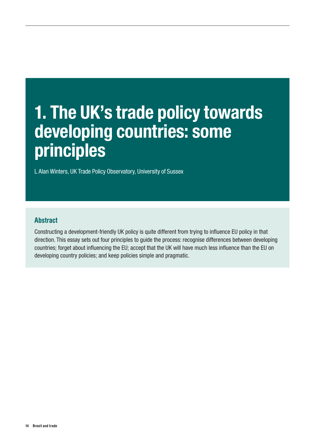# <span id="page-13-0"></span>1. The UK's trade policy towards developing countries: some principles

L Alan Winters, UK Trade Policy Observatory, University of Sussex

### **Abstract**

Constructing a development-friendly UK policy is quite different from trying to influence EU policy in that direction. This essay sets out four principles to guide the process: recognise differences between developing countries; forget about influencing the EU; accept that the UK will have much less influence than the EU on developing country policies; and keep policies simple and pragmatic.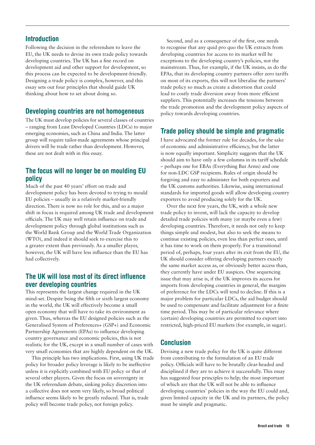Following the decision in the referendum to leave the EU, the UK needs to devise its own trade policy towards developing countries. The UK has a fine record on development aid and other support for development, so this process can be expected to be development-friendly. Designing a trade policy is complex, however, and this essay sets out four principles that should guide UK thinking about how to set about doing so.

#### Developing countries are not homogeneous

The UK must develop policies for several classes of countries – ranging from Least Developed Countries (LDCs) to major emerging economies, such as China and India. The latter group will require tailor-made agreements whose principal drivers will be trade rather than development. However, these are not dealt with in this essay.

#### The focus will no longer be on moulding EU policy

Much of the past 40 years' effort on trade and development policy has been devoted to trying to mould EU policies – usually in a relatively market-friendly direction. There is now no role for this, and so a major shift in focus is required among UK trade and development officials. The UK may well retain influence on trade and development policy through global institutions such as the World Bank Group and the World Trade Organization (WTO), and indeed it should seek to exercise this to a greater extent than previously. As a smaller player, however, the UK will have less influence than the EU has had collectively.

#### The UK will lose most of its direct influence over developing countries

This represents the largest change required in the UK mind-set. Despite being the fifth or sixth largest economy in the world, the UK will effectively become a small open economy that will have to take its environment as given. Thus, whereas the EU designed policies such as the Generalised System of Preferences+ (GSP+) and Economic Partnership Agreements (EPAs) to influence developing country governance and economic policies, this is not realistic for the UK, except in a small number of cases with very small economies that are highly dependent on the UK.

This principle has two implications. First, using UK trade policy for broader policy leverage is likely to be ineffective unless it is explicitly combined with EU policy or that of several other players. Given the focus on sovereignty in the UK referendum debate, sinking policy discretion into a collective does not seem very likely, so broad political influence seems likely to be greatly reduced. That is, trade policy will become trade policy, not foreign policy.

Second, and as a consequence of the first, one needs to recognise that any quid pro quo the UK extracts from developing countries for access to its market will be exceptions to the developing country's policies, not the mainstream. Thus, for example, if the UK insists, as do the EPAs, that its developing country partners offer zero tariffs on most of its exports, this will not liberalise the partners' trade policy so much as create a distortion that could lead to costly trade diversion away from more efficient suppliers. This potentially increases the tensions between the trade promotion and the development policy aspects of policy towards developing countries.

### Trade policy should be simple and pragmatic

I have advocated the former rule for decades, for the sake of economic and administrative efficiency, but the latter is now equally important. Simplicity suggests that the UK should aim to have only a few columns in its tariff schedule – perhaps one for EBAs (Everything But Arms) and one for non-LDC GSP recipients. Rules of origin should be forgiving and easy to administer for both exporters and the UK customs authorities. Likewise, using international standards for imported goods will allow developing country exporters to avoid producing solely for the UK.

Over the next few years, the UK, with a whole new trade policy to invent, will lack the capacity to develop detailed trade policies with many (or maybe even a few) developing countries. Therefore, it needs not only to keep things simple and modest, but also to seek the means to continue existing policies, even less than perfect ones, until it has time to work on them properly. For a transitional period of, perhaps, four years after its exit from the EU, the UK should consider offering developing partners exactly the same market access as, or obviously better access than, they currently have under EU auspices. One sequencing issue that may arise is, if the UK improves its access for imports from developing countries in general, the margins of preference for the LDCs will tend to decline. If this is a major problem for particular LDCs, the aid budget should be used to compensate and facilitate adjustment for a finite time period. This may be of particular relevance where (certain) developing countries are permitted to export into restricted, high-priced EU markets (for example, in sugar).

#### Conclusion

Devising a new trade policy for the UK is quite different from contributing to the formulation of an EU trade policy. Officials will have to be brutally clear-headed and disciplined if they are to achieve it successfully. This essay has suggested four principles to help; the most important of which are that the UK will not be able to influence developing countries' policies in the way the EU could and, given limited capacity in the UK and its partners, the policy must be simple and pragmatic.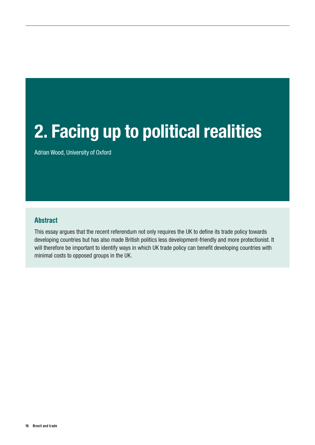# <span id="page-15-0"></span>2. Facing up to political realities

Adrian Wood, University of Oxford

#### Abstract

This essay argues that the recent referendum not only requires the UK to define its trade policy towards developing countries but has also made British politics less development-friendly and more protectionist. It will therefore be important to identify ways in which UK trade policy can benefit developing countries with minimal costs to opposed groups in the UK.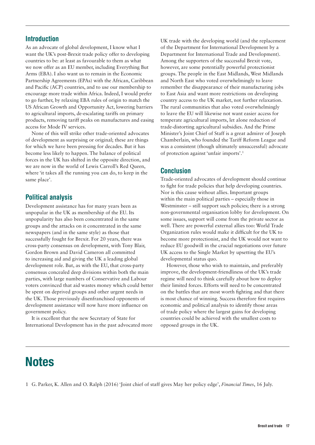As an advocate of global development, I know what I want the UK's post-Brexit trade policy offer to developing countries to be: at least as favourable to them as what we now offer as an EU member, including Everything But Arms (EBA). I also want us to remain in the Economic Partnership Agreements (EPAs) with the African, Caribbean and Pacific (ACP) countries, and to use our membership to encourage more trade within Africa. Indeed, I would prefer to go further, by relaxing EBA rules of origin to match the US African Growth and Opportunity Act, lowering barriers to agricultural imports, de-escalating tariffs on primary products, removing tariff peaks on manufactures and easing access for Mode IV services.

None of this will strike other trade-oriented advocates of development as surprising or original; these are things for which we have been pressing for decades. But it has become less likely to happen. The balance of political forces in the UK has shifted in the opposite direction, and we are now in the world of Lewis Carroll's Red Queen, where 'it takes all the running you can do, to keep in the same place'.

### Political analysis

Development assistance has for many years been as unpopular in the UK as membership of the EU. Its unpopularity has also been concentrated in the same groups and the attacks on it concentrated in the same newspapers (and in the same style) as those that successfully fought for Brexit. For 20 years, there was cross-party consensus on development, with Tony Blair, Gordon Brown and David Cameron all committed to increasing aid and giving the UK a leading global development role. But, as with the EU, that cross-party consensus concealed deep divisions within both the main parties, with large numbers of Conservative and Labour voters convinced that aid wastes money which could better be spent on deprived groups and other urgent needs in the UK. Those previously disenfranchised opponents of development assistance will now have more influence on government policy.

It is excellent that the new Secretary of State for International Development has in the past advocated more UK trade with the developing world (and the replacement of the Department for International Development by a Department for International Trade and Development). Among the supporters of the successful Brexit vote, however, are some potentially powerful protectionist groups. The people in the East Midlands, West Midlands and North East who voted overwhelmingly to leave remember the disappearance of their manufacturing jobs to East Asia and want more restrictions on developing country access to the UK market, not further relaxation. The rural communities that also voted overwhelmingly to leave the EU will likewise not want easier access for temperate agricultural imports, let alone reduction of trade-distorting agricultural subsidies. And the Prime Minister's Joint Chief of Staff is a great admirer of Joseph Chamberlain, who founded the Tariff Reform League and was a consistent (though ultimately unsuccessful) advocate of protection against 'unfair imports'.<sup>1</sup>

#### Conclusion

Trade-oriented advocates of development should continue to fight for trade policies that help developing countries. Nor is this cause without allies. Important groups within the main political parties – especially those in Westminster – still support such policies; there is a strong non-governmental organisation lobby for development. On some issues, support will come from the private sector as well. There are powerful external allies too: World Trade Organization rules would make it difficult for the UK to become more protectionist, and the UK would not want to reduce EU goodwill in the crucial negotiations over future UK access to the Single Market by upsetting the EU's developmental status quo.

However, those who wish to maintain, and preferably improve, the development-friendliness of the UK's trade regime will need to think carefully about how to deploy their limited forces. Efforts will need to be concentrated on the battles that are most worth fighting and that there is most chance of winning. Success therefore first requires economic and political analysis to identify those areas of trade policy where the largest gains for developing countries could be achieved with the smallest costs to opposed groups in the UK.

## **Notes**

1 G. Parker, K. Allen and O. Ralph (2016) 'Joint chief of staff gives May her policy edge', *Financial Times*, 16 July.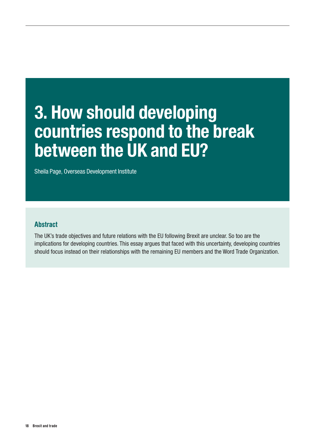# <span id="page-17-0"></span>3. How should developing countries respond to the break between the UK and EU?

Sheila Page, Overseas Development Institute

#### Abstract

The UK's trade objectives and future relations with the EU following Brexit are unclear. So too are the implications for developing countries. This essay argues that faced with this uncertainty, developing countries should focus instead on their relationships with the remaining EU members and the Word Trade Organization.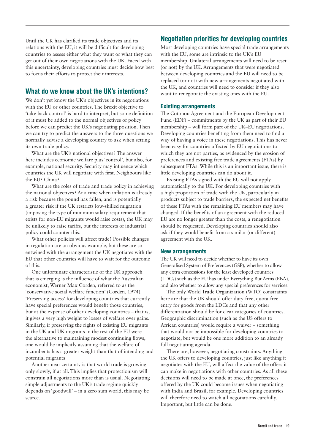Until the UK has clarified its trade objectives and its relations with the EU, it will be difficult for developing countries to assess either what they want or what they can get out of their own negotiations with the UK. Faced with this uncertainty, developing countries must decide how best to focus their efforts to protect their interests.

### What do we know about the UK's intentions?

We don't yet know the UK's objectives in its negotiations with the EU or other countries. The Brexit objective to **'**take back control' is hard to interpret, but some definition of it must be added to the normal objectives of policy before we can predict the UK's negotiating position. Then we can try to predict the answers to the three questions we normally advise a developing country to ask when setting its own trade policy.

What are the UK's national objectives? The answer here includes economic welfare plus 'control', but also, for example, national security. Security may influence which countries the UK will negotiate with first. Neighbours like the EU? China?

What are the roles of trade and trade policy in achieving the national objectives? At a time when inflation is already a risk because the pound has fallen, and is potentially a greater risk if the UK restricts low-skilled migration (imposing the type of minimum salary requirement that exists for non-EU migrants would raise costs), the UK may be unlikely to raise tariffs, but the interests of industrial policy could counter this.

What other policies will affect trade? Possible changes in regulation are an obvious example, but these are so entwined with the arrangement the UK negotiates with the EU that other countries will have to wait for the outcome of this.

One unfortunate characteristic of the UK approach that is emerging is the influence of what the Australian economist, Werner Max Corden, referred to as the 'conservative social welfare function' (Corden, 1974). 'Preserving access' for developing countries that currently have special preferences would benefit those countries, but at the expense of other developing countries – that is, it gives a very high weight to losses of welfare over gains. Similarly, if preserving the rights of existing EU migrants in the UK and UK migrants in the rest of the EU were the alternative to maintaining modest continuing flows, one would be implicitly assuming that the welfare of incumbents has a greater weight than that of intending and potential migrants

Another near certainty is that world trade is growing only slowly, if at all. This implies that protectionism will constrain all negotiations more than is usual. Negotiating simple adjustments to the UK's trade regime quickly depends on 'goodwill' – in a zero sum world, this may be scarce.

#### Negotiation priorities for developing countries

Most developing countries have special trade arrangements with the EU; some are intrinsic to the UK's EU membership. Unilateral arrangements will need to be reset (or not) by the UK. Arrangements that were negotiated between developing countries and the EU will need to be replaced (or not) with new arrangements negotiated with the UK, and countries will need to consider if they also want to renegotiate the existing ones with the EU.

#### Existing arrangements

The Cotonou Agreement and the European Development Fund (EDF) – commitments by the UK as part of their EU membership – will form part of the UK–EU negotiations. Developing countries benefiting from them need to find a way of having a voice in these negotiations. This has never been easy for countries affected by EU negotiations to which they are not parties, as evidenced by the erosion of preferences and existing free trade agreements (FTAs) by subsequent FTAs. While this is an important issue, there is little developing countries can do about it.

Existing FTAs signed with the EU will not apply automatically to the UK. For developing countries with a high proportion of trade with the UK, particularly in products subject to trade barriers, the expected net benefits of these FTAs with the remaining EU members may have changed. If the benefits of an agreement with the reduced EU are no longer greater than the costs, a renegotiation should be requested. Developing countries should also ask if they would benefit from a similar (or different) agreement with the UK.

#### New arrangements

The UK will need to decide whether to have its own Generalised System of Preferences (GSP), whether to allow any extra concessions for the least developed countries (LDCs) such as the EU has under Everything But Arms (EBA), and also whether to allow any special preferences for services.

The only World Trade Organization (WTO) constraints here are that the UK should offer duty-free, quota-free entry for goods from the LDCs and that any other differentiation should be for clear categories of countries. Geographic discrimination (such as the US offers to African countries) would require a waiver – something that would not be impossible for developing countries to negotiate, but would be one more addition to an already full negotiating agenda.

There are, however, negotiating constraints. Anything the UK offers to developing countries, just like anything it negotiates with the EU, will affect the value of the offers it can make in negotiations with other countries. As all these decisions will need to be made at once, the preferences offered by the UK could become issues when negotiating with India and Brazil, for example. Developing countries will therefore need to watch all negotiations carefully. Important, but little can be done.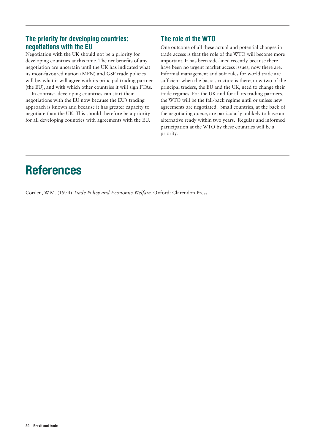#### The priority for developing countries: negotiations with the EU

Negotiation with the UK should not be a priority for developing countries at this time. The net benefits of any negotiation are uncertain until the UK has indicated what its most-favoured nation (MFN) and GSP trade policies will be, what it will agree with its principal trading partner (the EU), and with which other countries it will sign FTAs.

In contrast, developing countries can start their negotiations with the EU now because the EU's trading approach is known and because it has greater capacity to negotiate than the UK. This should therefore be a priority for all developing countries with agreements with the EU.

### The role of the WTO

One outcome of all these actual and potential changes in trade access is that the role of the WTO will become more important. It has been side-lined recently because there have been no urgent market access issues; now there are. Informal management and soft rules for world trade are sufficient when the basic structure is there; now two of the principal traders, the EU and the UK, need to change their trade regimes. For the UK and for all its trading partners, the WTO will be the fall-back regime until or unless new agreements are negotiated. Small countries, at the back of the negotiating queue, are particularly unlikely to have an alternative ready within two years. Regular and informed participation at the WTO by these countries will be a priority.

## References

Corden, W.M. (1974) *Trade Policy and Economic Welfare*. Oxford: Clarendon Press.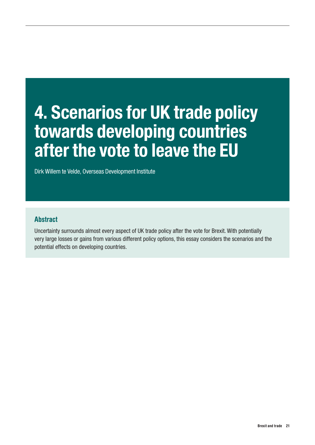# <span id="page-20-0"></span>4. Scenarios for UK trade policy towards developing countries after the vote to leave the EU

Dirk Willem te Velde, Overseas Development Institute

### Abstract

Uncertainty surrounds almost every aspect of UK trade policy after the vote for Brexit. With potentially very large losses or gains from various different policy options, this essay considers the scenarios and the potential effects on developing countries.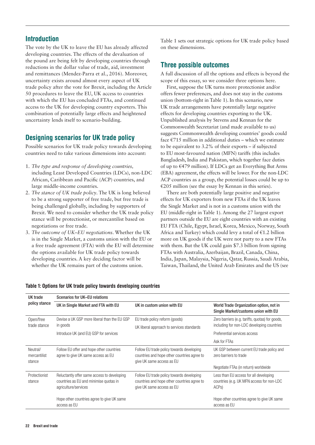The vote by the UK to leave the EU has already affected developing countries. The effects of the devaluation of the pound are being felt by developing countries through reductions in the dollar value of trade, aid, investment and remittances (Mendez-Parra et al., 2016). Moreover, uncertainty exists around almost every aspect of UK trade policy after the vote for Brexit, including the Article 50 procedures to leave the EU, UK access to countries with which the EU has concluded FTAs, and continued access to the UK for developing country exporters. This combination of potentially large effects and heightened uncertainty lends itself to scenario-building.

#### Designing scenarios for UK trade policy

Possible scenarios for UK trade policy towards developing countries need to take various dimensions into account:

- 1. *The type and response of developing countries,*  including Least Developed Countries (LDCs), non-LDC African, Caribbean and Pacific (ACP) countries, and large middle-income countries.
- 2. *The stance of UK trade policy*. The UK is long believed to be a strong supporter of free trade, but free trade is being challenged globally, including by supporters of Brexit. We need to consider whether the UK trade policy stance will be protectionist, or mercantilist based on negotiations or free trade.
- 3. *The outcome of UK–EU negotiations*. Whether the UK is in the Single Market, a customs union with the EU or a free trade agreement (FTA) with the EU will determine the options available for UK trade policy towards developing countries. A key deciding factor will be whether the UK remains part of the customs union.

Table 1 sets out strategic options for UK trade policy based on these dimensions.

#### Three possible outcomes

A full discussion of all the options and effects is beyond the scope of this essay, so we consider three options here.

First, suppose the UK turns more protectionist and/or offers fewer preferences, and does not stay in the customs union (bottom-right in Table 1). In this scenario, new UK trade arrangements have potentially large negative effects for developing countries exporting to the UK. Unpublished analysis by Stevens and Kennan for the Commonwealth Secretariat (and made available to us) suggests Commonwealth developing countries' goods could face €715 million in additional duties – which we estimate to be equivalent to 3.2% of their exports – if subjected to EU most-favoured nation (MFN) tariffs (this includes Bangladesh, India and Pakistan, which together face duties of up to €479 million). If LDCs get an Everything But Arms (EBA) agreement, the effects will be lower. For the non-LDC ACP countries as a group, the potential losses could be up to €205 million (see the essay by Kennan in this series).

There are both potentially large positive and negative effects for UK exporters from new FTAs if the UK leaves the Single Market and is not in a customs union with the EU (middle-right in Table 1). Among the 27 largest export partners outside the EU are eight countries with an existing EU FTA (Chile, Egypt, Israel, Korea, Mexico, Norway, South Africa and Turkey) which could levy a total of €1.2 billion more on UK goods if the UK were not party to a new FTAs with them. But the UK could gain \$7.3 billion from signing FTAs with Australia, Azerbaijan, Brazil, Canada, China, India, Japan, Malaysia, Nigeria, Qatar, Russia, Saudi Arabia, Taiwan, Thailand, the United Arab Emirates and the US (see

| UK trade                           | Scenarios for UK-EU relations                                                                                 |                                                                                                                       |                                                                                                         |  |  |  |
|------------------------------------|---------------------------------------------------------------------------------------------------------------|-----------------------------------------------------------------------------------------------------------------------|---------------------------------------------------------------------------------------------------------|--|--|--|
| policy stance                      | UK in Single Market and FTA with EU                                                                           | UK in custom union with EU                                                                                            | World Trade Organization option, not in<br>Single Market/customs union with EU                          |  |  |  |
| Open/free                          | Devise a UK GSP more liberal than the EU GSP                                                                  | EU trade policy reform (goods)                                                                                        | Zero barriers (e.g. tariffs, quotas) for goods,                                                         |  |  |  |
| trade stance                       | in goods                                                                                                      | UK liberal approach to services standards                                                                             | including for non-LDC developing countries                                                              |  |  |  |
|                                    | Introduce UK (and EU) GSP for services                                                                        |                                                                                                                       | Preferential services access                                                                            |  |  |  |
|                                    |                                                                                                               |                                                                                                                       | Ask for FTAs                                                                                            |  |  |  |
| Neutral/<br>mercantilist<br>stance | Follow EU offer and hope other countries<br>agree to give UK same access as EU                                | Follow EU trade policy towards developing<br>countries and hope other countries agree to<br>give UK same access as EU | UK GSP between current EU trade policy and<br>zero barriers to trade                                    |  |  |  |
|                                    |                                                                                                               |                                                                                                                       | Negotiate FTAs (in return) worldwide                                                                    |  |  |  |
| Protectionist<br>stance            | Reluctantly offer same access to developing<br>countries as EU and minimise quotas in<br>agriculture/services | Follow EU trade policy towards developing<br>countries and hope other countries agree to<br>give UK same access as EU | Less than EU access for all developing<br>countries (e.g. UK MFN access for non-LDC<br>ACP <sub>s</sub> |  |  |  |
|                                    | Hope other countries agree to give UK same<br>access as EU                                                    |                                                                                                                       | Hope other countries agree to give UK same<br>access as EU                                              |  |  |  |

#### Table 1: Options for UK trade policy towards developing countries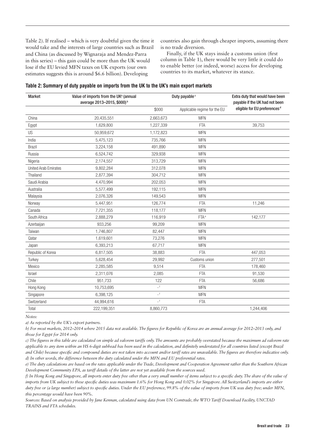Table 2). If realised – which is very doubtful given the time it would take and the interests of large countries such as Brazil and China (as discussed by Wignaraja and Mendez-Parra in this series) – this gain could be more than the UK would lose if the EU levied MFN taxes on UK exports (our own estimates suggests this is around \$6.6 billion). Developing

countries also gain through cheaper imports, assuming there is no trade diversion.

Finally, if the UK stays inside a customs union (first column in Table 1), there would be very little it could do to enable better (or indeed, worse) access for developing countries to its market, whatever its stance.

| <b>Market</b>        | Value of imports from the UK <sup>a</sup> (annual<br>average 2013-2015, \$000) <sup>b</sup> | Duty payable <sup>c</sup>  |                              | Extra duty that would have been<br>payable if the UK had not been |  |
|----------------------|---------------------------------------------------------------------------------------------|----------------------------|------------------------------|-------------------------------------------------------------------|--|
|                      |                                                                                             | \$000                      | Applicable regime for the EU | eligible for EU preferences <sup>d</sup>                          |  |
| China                | 20,435,551                                                                                  | 2,663,673                  | <b>MFN</b>                   |                                                                   |  |
| Egypt                | 1,629,800                                                                                   | 1,227,339                  | <b>FTA</b>                   | 39,753                                                            |  |
| US                   | 50,959,672                                                                                  | 1,172,823                  | <b>MFN</b>                   |                                                                   |  |
| India                | 5,475,123                                                                                   | 735,766                    | <b>MFN</b>                   |                                                                   |  |
| <b>Brazil</b>        | 3,224,158                                                                                   | 491,890                    | <b>MFN</b>                   |                                                                   |  |
| Russia               | 6,524,742                                                                                   | 329,938                    | <b>MFN</b>                   |                                                                   |  |
| Nigeria              | 2,174,557                                                                                   | 313,729                    | <b>MFN</b>                   |                                                                   |  |
| United Arab Emirates | 9,802,284                                                                                   | 312,078                    | <b>MFN</b>                   |                                                                   |  |
| Thailand             | 2,877,394                                                                                   | 304,712                    | <b>MFN</b>                   |                                                                   |  |
| Saudi Arabia         | 4,470,994                                                                                   | 202,053                    | <b>MFN</b>                   |                                                                   |  |
| Australia            | 5,577,499                                                                                   | 192,115                    | <b>MFN</b>                   |                                                                   |  |
| Malaysia             | 2,076,326                                                                                   | 149,543                    | <b>MFN</b>                   |                                                                   |  |
| Norway               | 5,447,951                                                                                   | 126,774                    | <b>FTA</b>                   | 11,246                                                            |  |
| Canada               | 7,721,355                                                                                   | 118,177                    | <b>MFN</b>                   |                                                                   |  |
| South Africa         | 2,888,279                                                                                   | 116,919                    | FTA <sup>e</sup>             | 142,177                                                           |  |
| Azerbaijan           | 933,256                                                                                     | 99,209                     | <b>MFN</b>                   |                                                                   |  |
| Taiwan               | 1,746,807                                                                                   | 82,447                     | <b>MFN</b>                   |                                                                   |  |
| Qatar                | 1,619,601                                                                                   | 73,276                     | <b>MFN</b>                   |                                                                   |  |
| Japan                | 6,393,213                                                                                   | 67,717                     | <b>MFN</b>                   |                                                                   |  |
| Republic of Korea    | 6,817,505                                                                                   | 38,883                     | <b>FTA</b>                   | 447,053                                                           |  |
| Turkey               | 5,628,454                                                                                   | 29,992                     | Customs union                | 277,501                                                           |  |
| Mexico               | 2,285,585                                                                                   | 9,514                      | <b>FTA</b>                   | 178,460                                                           |  |
| Israel               | 2,311,076                                                                                   | 2,085                      | <b>FTA</b>                   | 91,530                                                            |  |
| Chile                | 951,733                                                                                     | 122                        | <b>FTA</b>                   | 56,686                                                            |  |
| Hong Kong            | 10,753,695                                                                                  | $\overline{\phantom{a}}$ f | <b>MFN</b>                   |                                                                   |  |
| Singapore            | 6,398,125                                                                                   | $\_$ f                     | <b>MFN</b>                   |                                                                   |  |
| Switzerland          | 44,994,616                                                                                  | $\_$ f                     | <b>FTA</b>                   |                                                                   |  |
| Total                | 222,199,351                                                                                 | 8,860,773                  |                              | 1,244,406                                                         |  |

| Table 2: Summary of duty payable on imports from the UK to the UK's main export markets |  |  |  |  |  |  |  |
|-----------------------------------------------------------------------------------------|--|--|--|--|--|--|--|
|-----------------------------------------------------------------------------------------|--|--|--|--|--|--|--|

*Notes:*

*a) As reported by the UK's export partners.*

*b) For most markets, 2012–2014 where 2015 data not available. The figures for Republic of Korea are an annual average for 2012–2013 only, and those for Egypt for 2014 only.* 

*c) The figures in this table are calculated on simple ad valorem tariffs only. The amounts are probably overstated because the maximum ad valorem rate applicable to any item within an HS 6-digit subhead has been used in the calculation, and definitely understated for all countries listed (except Brazil and Chile) because specific and compound duties are not taken into account and/or tariff rates are unavailable. The figures are therefore indicative only. d) In other words, the difference between the duty calculated under the MFN and EU preferential rates.*

*e) The duty calculations are based on the rates applicable under the Trade, Development and Cooperation Agreement rather than the Southern African Development Community EPA, as tariff details of the latter are not yet available from the sources used.*

*f) In Hong Kong and Singapore, all imports enter duty free other than a very small number of items subject to a specific duty. The share of the value of imports from UK subject to these specific duties was maximum 1.6% for Hong Kong and 0.02% for Singapore. All Switzerland's imports are either duty free or (a large number) subject to specific duties. Under the EU preference, 99.8% of the value of imports from UK was duty free; under MFN, this percentage would have been 90%.*

*Sources: Based on analysis provided by Jane Kennan, calculated using data from UN Comtrade, the WTO Tariff Download Facility, UNCTAD TRAINS and FTA schedules.*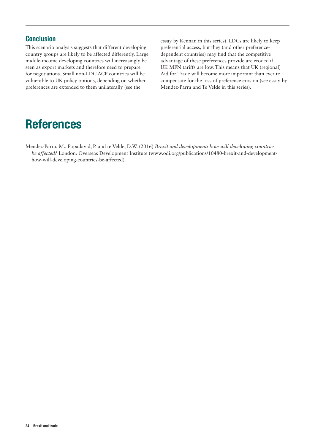#### **Conclusion**

This scenario analysis suggests that different developing country groups are likely to be affected differently. Large middle-income developing countries will increasingly be seen as export markets and therefore need to prepare for negotiations. Small non-LDC ACP countries will be vulnerable to UK policy options, depending on whether preferences are extended to them unilaterally (see the

essay by Kennan in this series). LDCs are likely to keep preferential access, but they (and other preferencedependent countries) may find that the competitive advantage of these preferences provide are eroded if UK MFN tariffs are low. This means that UK (regional) Aid for Trade will become more important than ever to compensate for the loss of preference erosion (see essay by Mendez-Parra and Te Velde in this series).

## References

Mendez-Parra, M., Papadavid, P. and te Velde, D.W. (2016) *Brexit and development: how will developing countries be affected?* London: Overseas Development Institute (www.odi.org/publications/10480-brexit-and-developmenthow-will-developing-countries-be-affected).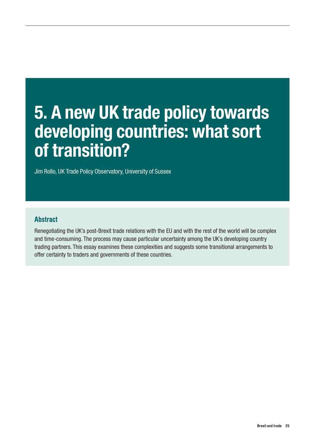# <span id="page-24-0"></span>5. A new UK trade policy towards developing countries: what sort of transition?

Jim Rollo, UK Trade Policy Observatory, University of Sussex

### Abstract

Renegotiating the UK's post-Brexit trade relations with the EU and with the rest of the world will be complex and time-consuming. The process may cause particular uncertainty among the UK's developing country trading partners. This essay examines these complexities and suggests some transitional arrangements to offer certainty to traders and governments of these countries.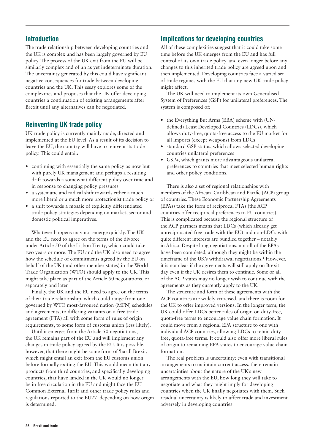The trade relationship between developing countries and the UK is complex and has been largely governed by EU policy. The process of the UK exit from the EU will be similarly complex and of an as yet indeterminate duration. The uncertainty generated by this could have significant negative consequences for trade between developing countries and the UK. This essay explores some of the complexities and proposes that the UK offer developing countries a continuation of existing arrangements after Brexit until any alternatives can be negotiated.

### Reinventing UK trade policy

UK trade policy is currently mainly made, directed and implemented at the EU level. As a result of its decision to leave the EU, the country will have to reinvent its trade policy. This could entail:

- **•** continuing with essentially the same policy as now but with purely UK management and perhaps a resulting drift towards a somewhat different policy over time and in response to changing policy pressures
- **•** a systematic and radical shift towards either a much more liberal or a much more protectionist trade policy or
- **•** a shift towards a mosaic of explicitly differentiated trade policy strategies depending on market, sector and domestic political imperatives.

Whatever happens may not emerge quickly. The UK and the EU need to agree on the terms of the divorce under Article 50 of the Lisbon Treaty, which could take two years or more. The EU and the UK also need to agree how the schedule of commitments agreed by the EU on behalf of the UK (and other member states) in the World Trade Organization (WTO) should apply to the UK. This might take place as part of the Article 50 negotiations, or separately and later.

Finally, the UK and the EU need to agree on the terms of their trade relationship, which could range from one governed by WTO most-favoured nation (MFN) schedules and agreements, to differing variants on a free trade agreement (FTA) all with some form of rules of origin requirements, to some form of customs union (less likely).

Until it emerges from the Article 50 negotiations, the UK remains part of the EU and will implement any changes in trade policy agreed by the EU. It is possible, however, that there might be some form of 'hard' Brexit, which might entail an exit from the EU customs union before formally exiting the EU. This would mean that any products from third countries, and specifically developing countries, that have landed in the UK would no longer be in free circulation in the EU and might face the EU Common External Tariff and other trade policy rules and regulations reported to the EU27, depending on how origin is determined.

#### Implications for developing countries

All of these complexities suggest that it could take some time before the UK emerges from the EU and has full control of its own trade policy, and even longer before any changes to this inherited trade policy are agreed upon and then implemented. Developing countries face a varied set of trade regimes with the EU that any new UK trade policy might affect.

The UK will need to implement its own Generalised System of Preferences (GSP) for unilateral preferences. The system is composed of:

- **•** the Everything But Arms (EBA) scheme with (UNdefined) Least Developed Countries (LDCs), which allows duty-free, quota-free access to the EU market for all imports (except weapons) from LDCs
- **•** standard GSP status, which allows selected developing countries unilateral preferences
- **•** GSP+, which grants more advantageous unilateral preferences to countries that meet selected human rights and other policy conditions.

There is also a set of regional relationships with members of the African, Caribbean and Pacific (ACP) group of countries. These Economic Partnership Agreements (EPAs) take the form of reciprocal FTAs (the ACP countries offer reciprocal preferences to EU countries). This is complicated because the regional structure of the ACP partners means that LDCs (which already get unreciprocated free trade with the EU) and non-LDCs with quite different interests are bundled together – notably in Africa. Despite long negotiations, not all of the EPAs have been completed, although they might be within the timeframe of the UK's withdrawal negotiations.<sup>1</sup> However, it is not clear if the agreements will still apply on Brexit day even if the UK desires them to continue. Some or all of the ACP states may no longer wish to continue with the agreements as they currently apply to the UK.

The structure and form of these agreements with the ACP countries are widely criticised, and there is room for the UK to offer improved versions. In the longer term, the UK could offer LDCs better rules of origin on duty-free, quota-free terms to encourage value chain formation. It could move from a regional EPA structure to one with individual ACP countries, allowing LDCs to retain dutyfree, quota-free terms. It could also offer more liberal rules of origin to remaining EPA states to encourage value chain formation.

The real problem is uncertainty: even with transitional arrangements to maintain current access, there remain uncertainties about the nature of the UK's new arrangements with the EU, how long they will take to negotiate and what they might imply for developing countries when the UK finally negotiates with them. Such residual uncertainty is likely to affect trade and investment adversely in developing countries.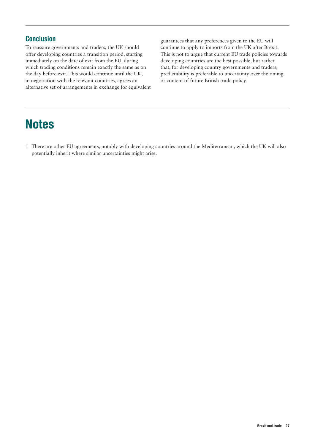#### **Conclusion**

To reassure governments and traders, the UK should offer developing countries a transition period, starting immediately on the date of exit from the EU, during which trading conditions remain exactly the same as on the day before exit. This would continue until the UK, in negotiation with the relevant countries, agrees an alternative set of arrangements in exchange for equivalent guarantees that any preferences given to the EU will continue to apply to imports from the UK after Brexit. This is not to argue that current EU trade policies towards developing countries are the best possible, but rather that, for developing country governments and traders, predictability is preferable to uncertainty over the timing or content of future British trade policy.

## **Notes**

1 There are other EU agreements, notably with developing countries around the Mediterranean, which the UK will also potentially inherit where similar uncertainties might arise.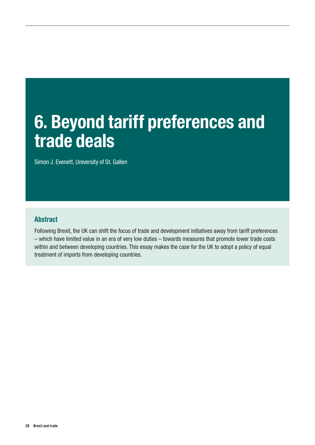# <span id="page-27-0"></span>6. Beyond tariff preferences and trade deals

Simon J. Evenett, University of St. Gallen

#### Abstract

Following Brexit, the UK can shift the focus of trade and development initiatives away from tariff preferences – which have limited value in an era of very low duties – towards measures that promote lower trade costs within and between developing countries. This essay makes the case for the UK to adopt a policy of equal treatment of imports from developing countries.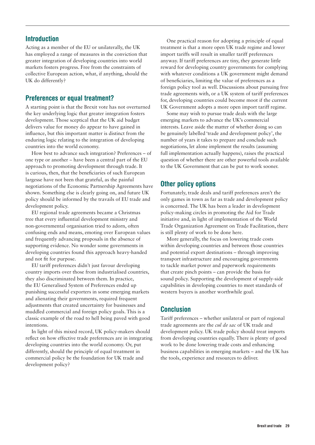Acting as a member of the EU or unilaterally, the UK has employed a range of measures in the conviction that greater integration of developing countries into world markets fosters progress. Free from the constraints of collective European action, what, if anything, should the UK do differently?

#### Preferences or equal treatment?

A starting point is that the Brexit vote has not overturned the key underlying logic that greater integration fosters development. Those sceptical that the UK aid budget delivers value for money do appear to have gained in influence, but this important matter is distinct from the enduring logic relating to the integration of developing countries into the world economy.

How best to advance such integration? Preferences – of one type or another – have been a central part of the EU approach to promoting development through trade. It is curious, then, that the beneficiaries of such European largesse have not been that grateful, as the painful negotiations of the Economic Partnership Agreements have shown. Something else is clearly going on, and future UK policy should be informed by the travails of EU trade and development policy.

EU regional trade agreements became a Christmas tree that every influential development ministry and non-governmental organisation tried to adorn, often confusing ends and means, emoting over European values and frequently advancing proposals in the absence of supporting evidence. No wonder some governments in developing countries found this approach heavy-handed and not fit for purpose.

EU tariff preferences didn't just favour developing country imports over those from industrialised countries, they also discriminated between them. In practice, the EU Generalised System of Preferences ended up punishing successful exporters in some emerging markets and alienating their governments, required frequent adjustments that created uncertainty for businesses and muddled commercial and foreign policy goals. This is a classic example of the road to hell being paved with good intentions.

In light of this mixed record, UK policy-makers should reflect on how effective trade preferences are in integrating developing countries into the world economy. Or, put differently, should the principle of equal treatment in commercial policy be the foundation for UK trade and development policy?

One practical reason for adopting a principle of equal treatment is that a more open UK trade regime and lower import tariffs will result in smaller tariff preferences anyway. If tariff preferences are tiny, they generate little reward for developing country governments for complying with whatever conditions a UK government might demand of beneficiaries, limiting the value of preferences as a foreign policy tool as well. Discussions about pursuing free trade agreements with, or a UK system of tariff preferences for, developing countries could become moot if the current UK Government adopts a more open import tariff regime.

Some may wish to pursue trade deals with the large emerging markets to advance the UK's commercial interests. Leave aside the matter of whether doing so can be genuinely labelled 'trade and development policy', the number of years it takes to prepare and conclude such negotiations, let alone implement the results (assuming full implementation actually happens), raises the practical question of whether there are other powerful tools available to the UK Government that can be put to work sooner.

#### Other policy options

Fortunately, trade deals and tariff preferences aren't the only games in town as far as trade and development policy is concerned. The UK has been a leader in development policy-making circles in promoting the Aid for Trade initiative and, in light of implementation of the World Trade Organization Agreement on Trade Facilitation, there is still plenty of work to be done here.

More generally, the focus on lowering trade costs within developing countries and between those countries and potential export destinations – through improving transport infrastructure and encouraging governments to tackle market power and paperwork requirements that create pinch points – can provide the basis for sound policy. Supporting the development of supply-side capabilities in developing countries to meet standards of western buyers is another worthwhile goal.

#### Conclusion

Tariff preferences – whether unilateral or part of regional trade agreements are the *cul de sac* of UK trade and development policy. UK trade policy should treat imports from developing countries equally. There is plenty of good work to be done lowering trade costs and enhancing business capabilities in emerging markets – and the UK has the tools, experience and resources to deliver.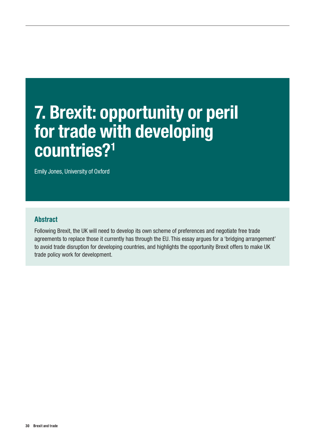# <span id="page-29-0"></span>7. Brexit: opportunity or peril for trade with developing countries?1

Emily Jones, University of Oxford

#### Abstract

Following Brexit, the UK will need to develop its own scheme of preferences and negotiate free trade agreements to replace those it currently has through the EU. This essay argues for a 'bridging arrangement' to avoid trade disruption for developing countries, and highlights the opportunity Brexit offers to make UK trade policy work for development.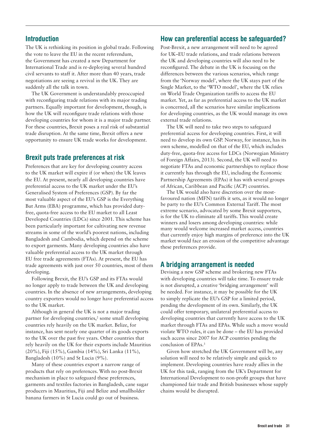The UK is rethinking its position in global trade. Following the vote to leave the EU in the recent referendum, the Government has created a new Department for International Trade and is re-deploying several hundred civil servants to staff it. After more than 40 years, trade negotiations are seeing a revival in the UK. They are suddenly all the talk in town.

The UK Government is understandably preoccupied with reconfiguring trade relations with its major trading partners. Equally important for development, though, is how the UK will reconfigure trade relations with those developing countries for whom it is a major trade partner. For these countries, Brexit poses a real risk of substantial trade disruption. At the same time, Brexit offers a new opportunity to ensure UK trade works for development.

#### Brexit puts trade preferences at risk

Preferences that are key for developing country access to the UK market will expire if (or when) the UK leaves the EU. At present, nearly all developing countries have preferential access to the UK market under the EU's Generalised System of Preferences (GSP). By far the most valuable aspect of the EU's GSP is the Everything But Arms (EBA) programme, which has provided dutyfree, quota-free access to the EU market to all Least Developed Countries (LDCs) since 2001. This scheme has been particularly important for cultivating new revenue streams in some of the world's poorest nations, including Bangladesh and Cambodia, which depend on the scheme to export garments. Many developing countries also have valuable preferential access to the UK market through EU free trade agreements (FTAs). At present, the EU has trade agreements with just over 50 countries, most of them developing.

Following Brexit, the EU's GSP and its FTAs would no longer apply to trade between the UK and developing countries. In the absence of new arrangements, developing country exporters would no longer have preferential access to the UK market.

Although in general the UK is not a major trading partner for developing countries,<sup>2</sup> some small developing countries rely heavily on the UK market. Belize, for instance, has sent nearly one quarter of its goods exports to the UK over the past five years. Other countries that rely heavily on the UK for their exports include Mauritius (20%), Fiji (15%), Gambia (14%), Sri Lanka (11%), Bangladesh (10%) and St Lucia (9%).

Many of these countries export a narrow range of products that rely on preferences. With no post-Brexit mechanism in place to safeguard these preferences, garments and textiles factories in Bangladesh, cane sugar producers in Mauritius, Fiji and Belize and smallholder banana farmers in St Lucia could go out of business.

#### How can preferential access be safeguarded?

Post-Brexit, a new arrangement will need to be agreed for UK–EU trade relations, and trade relations between the UK and developing countries will also need to be reconfigured. The debate in the UK is focusing on the differences between the various scenarios, which range from the 'Norway model', where the UK stays part of the Single Market, to the 'WTO model', where the UK relies on World Trade Organization tariffs to access the EU market. Yet, as far as preferential access to the UK market is concerned, all the scenarios have similar implications for developing countries, as the UK would manage its own external trade relations.

The UK will need to take two steps to safeguard preferential access for developing countries. First, it will need to develop its own GSP. Norway, for instance, has its own scheme, modelled on that of the EU, which includes duty-free, quota-free access for LDCs (Norwegian Ministry of Foreign Affairs, 2013). Second, the UK will need to negotiate FTAs and economic partnerships to replace those it currently has through the EU, including the Economic Partnership Agreements (EPAs) it has with several groups of African, Caribbean and Pacific (ACP) countries.

The UK would also have discretion over the mostfavoured nation (MFN) tariffs it sets, as it would no longer be party to the EU's Common External Tariff. The most extreme scenario, advocated by some Brexit supporters, is for the UK to eliminate all tariffs. This would create winners and losers among developing countries: while many would welcome increased market access, countries that currently enjoy high margins of preference into the UK market would face an erosion of the competitive advantage these preferences provide.

#### A bridging arrangement is needed

Devising a new GSP scheme and brokering new FTAs with developing countries will take time. To ensure trade is not disrupted, a creative 'bridging arrangement' will be needed. For instance, it may be possible for the UK to simply replicate the EU's GSP for a limited period, pending the development of its own. Similarly, the UK could offer temporary, unilateral preferential access to developing countries that currently have access to the UK market through FTAs and EPAs. While such a move would violate WTO rules, it can be done – the EU has provided such access since 2007 for ACP countries pending the conclusion of EPAs.3

Given how stretched the UK Government will be, any solution will need to be relatively simple and quick to implement. Developing countries have ready allies in the UK for this task, ranging from the UK's Department for International Development to non-profit groups that have championed fair trade and British businesses whose supply chains would be disrupted.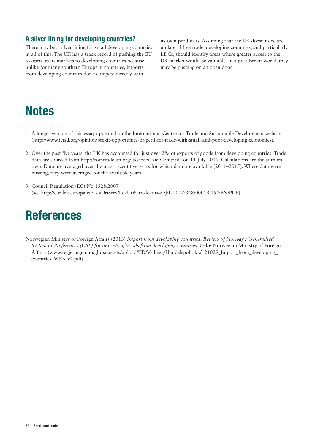#### A silver lining for developing countries?

There may be a silver lining for small developing countries in all of this. The UK has a track record of pushing the EU to open up its markets to developing countries because, unlike for many southern European countries, imports from developing countries don't compete directly with

its own producers. Assuming that the UK doesn't declare unilateral free trade, developing countries, and particularly LDCs, should identify areas where greater access to the UK market would be valuable. In a post-Brexit world, they may be pushing on an open door.

# **Notes**

- 1 A longer version of this essay appeared on the International Centre for Trade and Sustainable Development website (http://www.ictsd.org/opinion/brexit-opportunity-or-peril-for-trade-with-small-and-poor-developing-economies).
- 2 Over the past five years, the UK has accounted for just over 2% of exports of goods from developing countries. Trade data are sourced from <http://comtrade.un.org/> accessed via Comtrade on 14 July 2016. Calculations are the authors own. Data are averaged over the most recent five years for which data are available (2011–2015). Where data were missing, they were averaged for the available years.
- 3 Council Regulation (EC) No 1528/2007 (see http://eur-lex.europa.eu/LexUriServ/LexUriServ.do?uri=OJ:L:2007:348:0001:0154:EN:PDF).

## References

Norwegian Ministry of Foreign Affairs (2013) *Import from developing countries. Review of Norway's Generalised System of Preferences (GSP) for imports of goods from developing countries.* Oslo: Norwegian Ministry of Foreign Affairs (www.regjeringen.no/globalassets/upload/UD/Vedlegg/Handelspolitikk/121029\_Import\_from\_developing\_ countries\_WEB\_v2.pdf).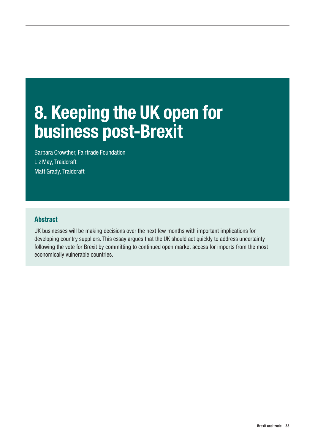# <span id="page-32-0"></span>8. Keeping the UK open for business post-Brexit

Barbara Crowther, Fairtrade Foundation Liz May, Traidcraft Matt Grady, Traidcraft

### Abstract

UK businesses will be making decisions over the next few months with important implications for developing country suppliers. This essay argues that the UK should act quickly to address uncertainty following the vote for Brexit by committing to continued open market access for imports from the most economically vulnerable countries.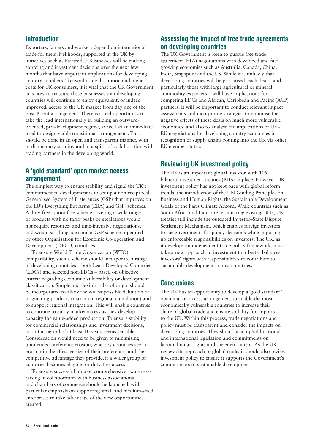Exporters, famers and workers depend on international trade for their livelihoods, supported in the UK by initiatives such as Fairtrade.<sup>1</sup> Businesses will be making sourcing and investment decisions over the next few months that have important implications for developing country suppliers. To avoid trade disruption and higher costs for UK consumers, it is vital that the UK Government acts now to reassure these businesses that developing countries will continue to enjoy equivalent, or indeed improved, access to the UK market from day one of the post-Brexit arrangement. There is a real opportunity to take the lead internationally in building an outwardoriented, pro-development regime, as well as an immediate need to design viable transitional arrangements. This should be done in an open and transparent manner, with parliamentary scrutiny and in a spirit of collaboration with trading partners in the developing world.

### A 'gold standard' open market access arrangement

The simplest way to ensure stability and signal the UK's commitment to development is to set up a non-reciprocal Generalised System of Preferences (GSP) that improves on the EU's Everything But Arms (EBA) and GSP<sup>2</sup> schemes. A duty-free, quota-free scheme covering a wide range of products with no tariff peaks or escalations would not require resource- and time-intensive negotiations, and would sit alongside similar GSP schemes operated by other Organisation for Economic Co-operation and Development (OECD) countries.

To ensure World Trade Organization (WTO) compatibility, such a scheme should incorporate a range of developing countries – both Least Developed Countries (LDCs) and selected non-LDCs – based on objective criteria regarding economic vulnerability or development classification. Simple and flexible rules of origin should be incorporated to allow the widest possible definition of originating products (maximum regional cumulation) and to support regional integration. This will enable countries to continue to enjoy market access as they develop capacity for value-added production. To ensure stability for commercial relationships and investment decisions, an initial period of at least 10 years seems sensible. Consideration would need to be given to minimising unintended preference erosion, whereby countries see an erosion in the effective size of their preferences and the competitive advantage they provide, if a wider group of countries becomes eligible for duty-free access.

To ensure successful uptake, comprehensive awarenessraising in collaboration with business associations and chambers of commerce should be launched, with particular emphasis on supporting small and medium-sized enterprises to take advantage of the new opportunities created.

### Assessing the impact of free trade agreements on developing countries

The UK Government is keen to pursue free trade agreement (FTA) negotiations with developed and fastgrowing economies such as Australia, Canada, China, India, Singapore and the US. While it is unlikely that developing countries will be prioritised, each deal – and particularly those with large agricultural or mineral commodity exporters – will have implications for competing LDCs and African, Caribbean and Pacific (ACP) partners. It will be important to conduct relevant impact assessments and incorporate strategies to minimise the negative effects of these deals on much more vulnerable economies, and also to analyse the implications of UK– EU negotiations for developing country economies in recognition of supply chains routing into the UK via other EU member states.

## Reviewing UK investment policy

The UK is an important global investor, with 105 bilateral investment treaties (BITs) in place. However, UK investment policy has not kept pace with global reform trends, the introduction of the UN Guiding Principles on Business and Human Rights, the Sustainable Development Goals or the Paris Climate Accord. While countries such as South Africa and India are terminating existing BITs, UK treaties still include the outdated Investor–State Dispute Settlement Mechanism, which enables foreign investors to sue governments for policy decisions while imposing no enforceable responsibilities on investors. The UK, as it develops an independent trade policy framework, must take a new approach to investment that better balances investors' rights with responsibilities to contribute to sustainable development in host countries.

## **Conclusions**

The UK has an opportunity to develop a 'gold standard' open market access arrangement to enable the most economically vulnerable countries to increase their share of global trade and ensure stability for imports to the UK. Within this process, trade negotiations and policy must be transparent and consider the impacts on developing countries. They should also uphold national and international legislation and commitments on labour, human rights and the environment. As the UK reviews its approach to global trade, it should also review investment policy to ensure it supports the Government's commitments to sustainable development.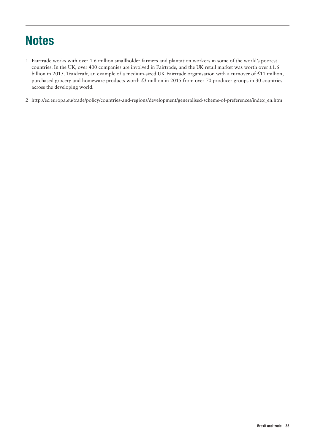# **Notes**

- 1 Fairtrade works with over 1.6 million smallholder farmers and plantation workers in some of the world's poorest countries. In the UK, over 400 companies are involved in Fairtrade, and the UK retail market was worth over £1.6 billion in 2015. Traidcraft, an example of a medium-sized UK Fairtrade organisation with a turnover of £11 million, purchased grocery and homeware products worth £3 million in 2015 from over 70 producer groups in 30 countries across the developing world.
- 2 [http://ec.europa.eu/trade/policy/countries-and-regions/development/generalised-scheme-of-preferences/index\\_en.htm](http://ec.europa.eu/trade/policy/countries-and-regions/development/generalised-scheme-of-preferences/index_en.htm)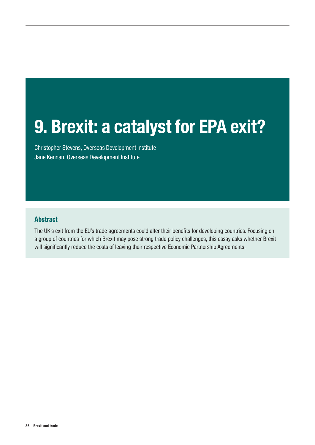# <span id="page-35-0"></span>9. Brexit: a catalyst for EPA exit?

Christopher Stevens, Overseas Development Institute Jane Kennan, Overseas Development Institute

## Abstract

The UK's exit from the EU's trade agreements could alter their benefits for developing countries. Focusing on a group of countries for which Brexit may pose strong trade policy challenges, this essay asks whether Brexit will significantly reduce the costs of leaving their respective Economic Partnership Agreements.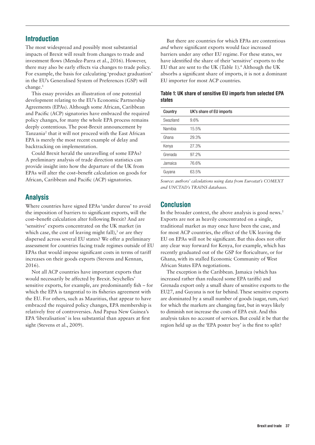The most widespread and possibly most substantial impacts of Brexit will result from changes to trade and investment flows (Mendez-Parra et al., 2016). However, there may also be early effects via changes to trade policy. For example, the basis for calculating 'product graduation' in the EU's Generalised System of Preferences (GSP) will change.1

This essay provides an illustration of one potential development relating to the EU's Economic Partnership Agreements (EPAs). Although some African, Caribbean and Pacific (ACP) signatories have embraced the required policy changes, for many the whole EPA process remains deeply contentious. The post-Brexit announcement by Tanzania<sup>2</sup> that it will not proceed with the East African EPA is merely the most recent example of delay and backtracking on implementation.

Could Brexit herald the unravelling of some EPAs? A preliminary analysis of trade direction statistics can provide insight into how the departure of the UK from EPAs will alter the cost–benefit calculation on goods for African, Caribbean and Pacific (ACP) signatories.

# Analysis

Where countries have signed EPAs 'under duress' to avoid the imposition of barriers to significant exports, will the cost–benefit calculation alter following Brexit? And are 'sensitive' exports concentrated on the UK market (in which case, the cost of leaving might fall), $3$  or are they dispersed across several EU states? We offer a preliminary assessment for countries facing trade regimes outside of EU EPAs that would impose significant costs in terms of tariff increases on their goods exports (Stevens and Kennan, 2016).

Not all ACP countries have important exports that would necessarily be affected by Brexit. Seychelles' sensitive exports, for example, are predominantly fish – for which the EPA is tangential to its fisheries agreement with the EU. For others, such as Mauritius, that appear to have embraced the required policy changes, EPA membership is relatively free of controversies. And Papua New Guinea's EPA 'liberalisation' is less substantial than appears at first sight (Stevens et al., 2009).

But there are countries for which EPAs are contentious *and* where significant exports would face increased barriers under any other EU regime. For these states, we have identified the share of their 'sensitive' exports to the EU that are sent to the UK (Table 1).<sup>4</sup> Although the UK absorbs a significant share of imports, it is not a dominant EU importer for most ACP countries.

|        |  |  |  | Table 1: UK share of sensitive EU imports from selected EPA |  |
|--------|--|--|--|-------------------------------------------------------------|--|
| states |  |  |  |                                                             |  |

| Country   | UK's share of EU imports |
|-----------|--------------------------|
| Swaziland | 9.6%                     |
| Namibia   | 15.5%                    |
| Ghana     | 29.3%                    |
| Kenya     | 27.3%                    |
| Grenada   | 97.2%                    |
| Jamaica   | 76.6%                    |
| Guyana    | 63.5%                    |

*Source: authors' calculations using data from Eurostat's COMEXT and UNCTAD's TRAINS databases.*

### Conclusion

In the broader context, the above analysis is good news.<sup>5</sup> Exports are not as heavily concentrated on a single, traditional market as may once have been the case, and for most ACP countries, the effect of the UK leaving the EU on EPAs will not be significant. But this does not offer any clear way forward for Kenya, for example, which has recently graduated out of the GSP for floriculture, or for Ghana, with its stalled Economic Community of West African States EPA negotiations.

The exception is the Caribbean. Jamaica (which has increased rather than reduced some EPA tariffs) and Grenada export only a small share of sensitive exports to the EU27, and Guyana is not far behind. These sensitive exports are dominated by a small number of goods (sugar, rum, rice) for which the markets are changing fast, but in ways likely to diminish not increase the costs of EPA exit. And this analysis takes no account of services. But could it be that the region held up as the 'EPA poster boy' is the first to split?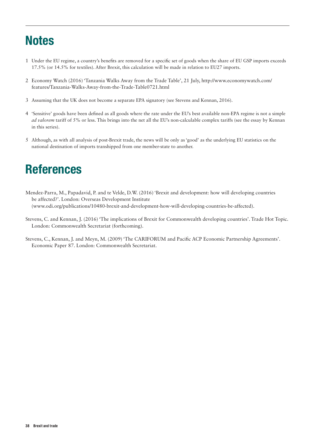# **Notes**

- 1 Under the EU regime, a country's benefits are removed for a specific set of goods when the share of EU GSP imports exceeds 17.5% (or 14.5% for textiles). After Brexit, this calculation will be made in relation to EU27 imports.
- 2 Economy Watch (2016) 'Tanzania Walks Away from the Trade Table', 21 July, [http://www.economywatch.com/](http://www.economywatch.com/features/Tanzania-Walks-Away-from-the-Trade-Table0721.html) [features/Tanzania-Walks-Away-from-the-Trade-Table0721.html](http://www.economywatch.com/features/Tanzania-Walks-Away-from-the-Trade-Table0721.html)
- 3 Assuming that the UK does not become a separate EPA signatory (see Stevens and Kennan, 2016).
- 4 'Sensitive' goods have been defined as all goods where the rate under the EU's best available non-EPA regime is not a simple *ad valorem* tariff of 5% or less. This brings into the net all the EU's non-calculable complex tariffs (see the essay by Kennan in this series).
- 5 Although, as with all analysis of post-Brexit trade, the news will be only as 'good' as the underlying EU statistics on the national destination of imports transhipped from one member-state to another.

# References

- Mendez-Parra, M., Papadavid, P. and te Velde, D.W. (2016) 'Brexit and development: how will developing countries be affected?'. London: Overseas Development Institute ([www.odi.org/publications/10480-brexit-and-development-how-will-developing-countries-be-affected\)](http://www.odi.org/publications/10480-brexit-and-development-how-will-developing-countries-be-affected)).
- Stevens, C. and Kennan, J. (2016) 'The implications of Brexit for Commonwealth developing countries'. Trade Hot Topic. London: Commonwealth Secretariat (forthcoming).
- Stevens, C., Kennan, J. and Meyn, M. (2009) 'The CARIFORUM and Pacific ACP Economic Partnership Agreements'. Economic Paper 87. London: Commonwealth Secretariat.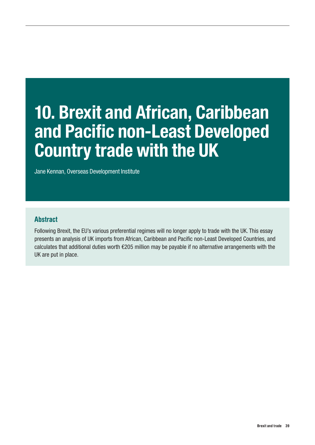# 10. Brexit and African, Caribbean and Pacific non-Least Developed Country trade with the UK

Jane Kennan, Overseas Development Institute

## Abstract

Following Brexit, the EU's various preferential regimes will no longer apply to trade with the UK. This essay presents an analysis of UK imports from African, Caribbean and Pacific non-Least Developed Countries, and calculates that additional duties worth €205 million may be payable if no alternative arrangements with the UK are put in place.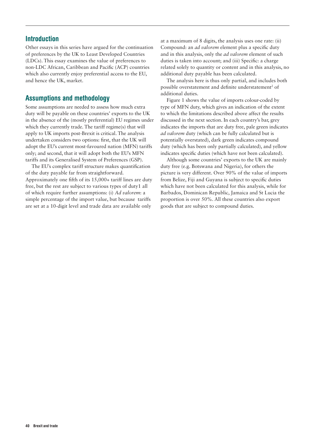Other essays in this series have argued for the continuation of preferences by the UK to Least Developed Countries (LDCs). This essay examines the value of preferences to non-LDC African, Caribbean and Pacific (ACP) countries which also currently enjoy preferential access to the EU, and hence the UK, market.

## Assumptions and methodology

Some assumptions are needed to assess how much extra duty will be payable on these countries' exports to the UK in the absence of the (mostly preferential) EU regimes under which they currently trade. The tariff regime(s) that will apply to UK imports post-Brexit is critical. The analysis undertaken considers two options: first, that the UK will adopt the EU's current most-favoured nation (MFN) tariffs only; and second, that it will adopt both the EU's MFN tariffs and its Generalised System of Preferences (GSP).

The EU's complex tariff structure makes quantification of the duty payable far from straightforward. Approximately one fifth of its 15,000+ tariff lines are duty free, but the rest are subject to various types of duty1 all of which require further assumptions: (i) *Ad valorem*: a simple percentage of the import value, but because tariffs are set at a 10-digit level and trade data are available only

at a maximum of 8 digits, the analysis uses one rate: (ii) Compound: an *ad valorem* element plus a specific duty and in this analysis, only the *ad valorem* element of such duties is taken into account; and (iii) Specific: a charge related solely to quantity or content and in this analysis, no additional duty payable has been calculated.

The analysis here is thus only partial, and includes both possible overstatement and definite understatement<sup>2</sup> of additional duties.

Figure 1 shows the value of imports colour-coded by type of MFN duty, which gives an indication of the extent to which the limitations described above affect the results discussed in the next section. In each country's bar, grey indicates the imports that are duty free, pale green indicates *ad valorem* duty (which can be fully calculated but is potentially overstated), dark green indicates compound duty (which has been only partially calculated), and yellow indicates specific duties (which have not been calculated).

Although some countries' exports to the UK are mainly duty free (e.g. Botswana and Nigeria), for others the picture is very different. Over 90% of the value of imports from Belize, Fiji and Guyana is subject to specific duties which have not been calculated for this analysis, while for Barbados, Dominican Republic, Jamaica and St Lucia the proportion is over 50%. All these countries also export goods that are subject to compound duties.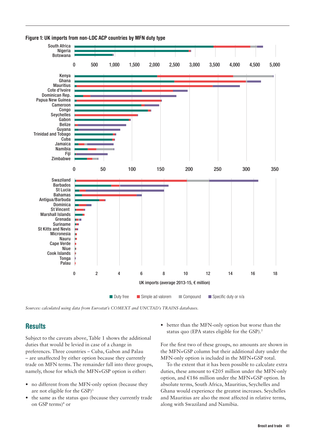



*Sources: calculated using data from Eurostat's COMEXT and UNCTAD's TRAINS databases.*

# **Results**

Subject to the caveats above, Table 1 shows the additional duties that would be levied in case of a change in preferences. Three countries – Cuba, Gabon and Palau – are unaffected by either option because they currently trade on MFN terms. The remainder fall into three groups, namely, those for which the MFN+GSP option is either:

- **•** no different from the MFN-only option (because they are not eligible for the GSP)3
- **•** the same as the status quo (because they currently trade on GSP terms)4 or

• better than the MFN-only option but worse than the status quo (EPA states eligible for the GSP).<sup>5</sup>

For the first two of these groups, no amounts are shown in the MFN+GSP column but their additional duty under the MFN-only option is included in the MFN+GSP total.

To the extent that it has been possible to calculate extra duties, these amount to €205 million under the MFN-only option, and €186 million under the MFN+GSP option. In absolute terms, South Africa, Mauritius, Seychelles and Ghana would experience the greatest increases. Seychelles and Mauritius are also the most affected in relative terms, along with Swaziland and Namibia.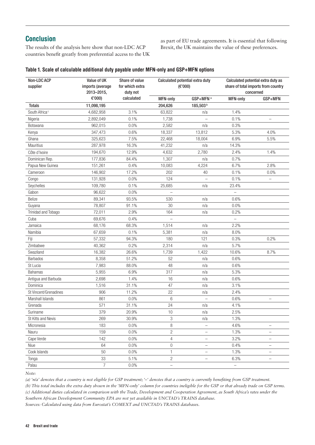# **Conclusion**

The results of the analysis here show that non-LDC ACP countries benefit greatly from preferential access to the UK as part of EU trade agreements. It is essential that following Brexit, the UK maintains the value of these preferences.

#### Table 1. Scale of calculable additional duty payable under MFN-only and GSP+MFN options

| Non-LDC ACP<br>supplier   | Value of UK<br>imports (average<br>2013-2015, | Share of value<br>for which extra<br>duty not | Calculated potential extra duty<br>(E'000) |                          | Calculated potential extra duty as<br>share of total imports from country<br>concerned |                          |
|---------------------------|-----------------------------------------------|-----------------------------------------------|--------------------------------------------|--------------------------|----------------------------------------------------------------------------------------|--------------------------|
|                           | €'000)                                        | calculated                                    | <b>MFN-only</b>                            | GSP+MFN <sup>a</sup>     | MFN-only                                                                               | GSP+MFN                  |
| <b>Totals</b>             | 11,098,195                                    |                                               | 204,626                                    | 185,503b                 |                                                                                        |                          |
| South Africa <sup>c</sup> | 4,682,958                                     | 3.1%                                          | 63,822                                     | n/a                      | 1.4%                                                                                   |                          |
| Nigeria                   | 2,892,049                                     | 0.1%                                          | 1,738                                      |                          | 0.1%                                                                                   |                          |
| <b>Botswana</b>           | 962,015                                       | 0.0%                                          | 2,582                                      | n/a                      | 0.3%                                                                                   |                          |
| Kenya                     | 347,473                                       | 0.6%                                          | 18,337                                     | 13,812                   | 5.3%                                                                                   | 4.0%                     |
| Ghana                     | 325,623                                       | 7.5%                                          | 22,468                                     | 18,004                   | 6.9%                                                                                   | 5.5%                     |
| Mauritius                 | 287,978                                       | 16.3%                                         | 41,232                                     | n/a                      | 14.3%                                                                                  |                          |
| Côte d'Ivoire             | 194,670                                       | 12.9%                                         | 4,632                                      | 2,780                    | 2.4%                                                                                   | 1.4%                     |
| Dominican Rep.            | 177,836                                       | 84.4%                                         | 1,307                                      | n/a                      | 0.7%                                                                                   |                          |
| Papua New Guinea          | 151,261                                       | 0.4%                                          | 10,083                                     | 4,224                    | 6.7%                                                                                   | 2.8%                     |
| Cameroon                  | 146,902                                       | 17.2%                                         | 202                                        | 40                       | 0.1%                                                                                   | 0.0%                     |
| Congo                     | 131,928                                       | 0.0%                                          | 124                                        |                          | 0.1%                                                                                   |                          |
| Seychelles                | 109,780                                       | 0.1%                                          | 25,685                                     | n/a                      | 23.4%                                                                                  |                          |
| Gabon                     | 96,622                                        | 0.0%                                          |                                            |                          |                                                                                        |                          |
| Belize                    | 89,341                                        | 93.5%                                         | 530                                        | n/a                      | 0.6%                                                                                   |                          |
| Guyana                    | 78,807                                        | 91.1%                                         | $30\,$                                     | n/a                      | 0.0%                                                                                   |                          |
| Trinidad and Tobago       | 72,011                                        | 2.9%                                          | 164                                        | n/a                      | 0.2%                                                                                   |                          |
| Cuba                      | 69,676                                        | 0.4%                                          |                                            |                          |                                                                                        |                          |
| Jamaica                   | 68,176                                        | 68.3%                                         | 1,514                                      | n/a                      | 2.2%                                                                                   |                          |
| Namibia                   | 67,659                                        | 0.1%                                          | 5,381                                      | n/a                      | 8.0%                                                                                   |                          |
| Fiji                      | 57,332                                        | 94.3%                                         | 180                                        | 121                      | 0.3%                                                                                   | 0.2%                     |
| Zimbabwe                  | 40,362                                        | 0.2%                                          | 2,314                                      | n/a                      | 5.7%                                                                                   |                          |
| Swaziland                 | 16,382                                        | 26.6%                                         | 1,739                                      | 1,422                    | 10.6%                                                                                  | 8.7%                     |
| <b>Barbados</b>           | 8,358                                         | 51.2%                                         | 52                                         | n/a                      | 0.6%                                                                                   |                          |
| St Lucia                  | 7,983                                         | 88.0%                                         | 48                                         | n/a                      | 0.6%                                                                                   |                          |
| <b>Bahamas</b>            | 5,955                                         | 6.9%                                          | 317                                        | n/a                      | 5.3%                                                                                   |                          |
| Antigua and Barbuda       | 2,698                                         | 1.4%                                          | 16                                         | n/a                      | 0.6%                                                                                   |                          |
| Dominica                  | 1,516                                         | 31.1%                                         | 47                                         | n/a                      | 3.1%                                                                                   |                          |
| St Vincent/Grenadines     | 906                                           | 11.2%                                         | 22                                         | n/a                      | 2.4%                                                                                   |                          |
| Marshall Islands          | 861                                           | 0.0%                                          | 6                                          |                          | 0.6%                                                                                   |                          |
| Grenada                   | 571                                           | 31.1%                                         | 24                                         | n/a                      | 4.1%                                                                                   |                          |
| Suriname                  | 379                                           | 20.9%                                         | 10                                         | n/a                      | 2.5%                                                                                   |                          |
| St Kitts and Nevis        | 269                                           | 30.9%                                         | 3                                          | n/a                      | 1.3%                                                                                   |                          |
| Micronesia                | 183                                           | 0.0%                                          | 8                                          |                          | 4.6%                                                                                   |                          |
| Nauru                     | 159                                           | 0.0%                                          | $\overline{c}$                             | $\overline{\phantom{0}}$ | 1.3%                                                                                   | $\overline{\phantom{0}}$ |
| Cape Verde                | 142                                           | 0.0%                                          | 4                                          |                          | 3.2%                                                                                   | $\overline{\phantom{0}}$ |
| Niue                      | 64                                            | 0.0%                                          | $\boldsymbol{0}$                           | $\qquad \qquad -$        | 0.4%                                                                                   | $\qquad \qquad -$        |
| Cook Islands              | 50                                            | 0.0%                                          | 1                                          | $\qquad \qquad -$        | 1.3%                                                                                   | $\overline{\phantom{m}}$ |
| Tonga                     | 33                                            | 5.1%                                          | $\overline{c}$                             | $\overline{\phantom{0}}$ | 6.3%                                                                                   | $\overline{\phantom{m}}$ |
| Palau                     | $\overline{7}$                                | 0.0%                                          | $\overline{\phantom{0}}$                   |                          | $\overline{\phantom{0}}$                                                               |                          |

*Note:* 

*(a) 'n/a' denotes that a country is not eligible for GSP treatment; '–' denotes that a country is currently benefiting from GSP treatment. (b) This total includes the extra duty shown in the 'MFN-only' column for countries ineligible for the GSP or that already trade on GSP terms. (c) Additional duties calculated in comparison with the Trade, Development and Cooperation Agreement, as South Africa's rates under the Southern African Development Community EPA are not yet available in UNCTAD's TRAINS database. Sources: Calculated using data from Eurostat's COMEXT and UNCTAD's TRAINS databases.*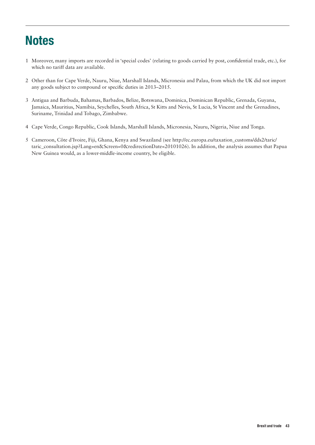# **Notes**

- 1 Moreover, many imports are recorded in 'special codes' (relating to goods carried by post, confidential trade, etc.), for which no tariff data are available.
- 2 Other than for Cape Verde, Nauru, Niue, Marshall Islands, Micronesia and Palau, from which the UK did not import any goods subject to compound or specific duties in 2013–2015.
- 3 Antigua and Barbuda, Bahamas, Barbados, Belize, Botswana, Dominica, Dominican Republic, Grenada, Guyana, Jamaica, Mauritius, Namibia, Seychelles, South Africa, St Kitts and Nevis, St Lucia, St Vincent and the Grenadines, Suriname, Trinidad and Tobago, Zimbabwe.
- 4 Cape Verde, Congo Republic, Cook Islands, Marshall Islands, Micronesia, Nauru, Nigeria, Niue and Tonga.
- 5 Cameroon, Côte d'Ivoire, Fiji, Ghana, Kenya and Swaziland (see http://ec.europa.eu/taxation\_customs/dds2/taric/ taric\_consultation.jsp?Lang=en&Screen=0&redirectionDate=20101026). In addition, the analysis assumes that Papua New Guinea would, as a lower-middle-income country, be eligible.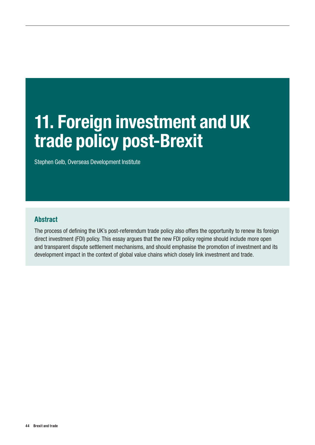# 11. Foreign investment and UK trade policy post-Brexit

Stephen Gelb, Overseas Development Institute

## Abstract

The process of defining the UK's post-referendum trade policy also offers the opportunity to renew its foreign direct investment (FDI) policy. This essay argues that the new FDI policy regime should include more open and transparent dispute settlement mechanisms, and should emphasise the promotion of investment and its development impact in the context of global value chains which closely link investment and trade.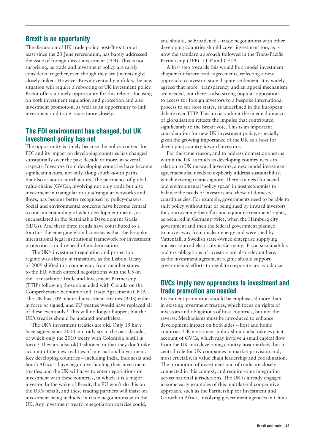#### Brexit is an opportunity

The discussion of UK trade policy post-Brexit, or at least since the 23 June referendum, has barely addressed the issue of foreign direct investment (FDI). This is not surprising, as trade and investment policy are rarely considered together, even though they are (increasingly) closely linked. However Brexit eventually unfolds, the new situation will require a rebooting of UK investment policy. Brexit offers a timely opportunity for this reboot, focusing on both investment regulation and protection and also investment promotion, as well as an opportunity to link investment and trade issues more closely.

### The FDI environment has changed, but UK investment policy has not

The opportunity is timely because the policy context for FDI and its impact on developing countries has changed substantially over the past decade or more, in several respects. Investors from developing countries have become significant actors, not only along south–south paths, but also as south–north actors. The pertinence of global value chains (GVCs), involving not only trade but also investment in triangular or quadrangular networks and flows, has become better recognised by policy-makers. Social and environmental concerns have become central to our understanding of what development means, as encapsulated in the Sustainable Development Goals (SDGs). And these three trends have contributed to a fourth – the emerging global consensus that the bespoke international legal institutional framework for investment protection is in dire need of modernisation.

The UK's investment regulation and protection regime was already in transition, as the Lisbon Treaty of 2009 shifted this competency from member states to the EU, which entered negotiations with the US on the Transatlantic Trade and Investment Partnership (TTIP) following those concluded with Canada on the Comprehensive Economic and Trade Agreement (CETA). The UK has 109 bilateral investment treaties (BITs) either in force or signed, and EU treaties would have replaced all of these eventually.<sup>1</sup> This will no longer happen, but the UK's treaties should be updated nonetheless.

The UK's investment treaties are old. Only 15 have been signed since 2000 and only six in the past decade, of which only the 2010 treaty with Colombia is still in force.2 They are also old-fashioned in that they don't take account of the new realities of international investment. Key developing countries – including India, Indonesia and South Africa – have begun overhauling their investment treaties, and the UK will have to enter negotiations on investment with these countries, in which it is a major investor. In the wake of Brexit, the EU won't do this on the UK's behalf, and these trading partners will insist on investment being included in trade negotiations with the UK. Any investment treaty renegotiation exercise could,

and should, be broadened – trade negotiations with other developing countries should cover investment too, as is now the standard approach followed in the Trans-Pacific Partnership (TPP), TTIP and CETA.

A first step towards this would be a model investment chapter for future trade agreements, reflecting a new approach to investor–state dispute settlement. It is widely agreed that more transparency and an appeal mechanism are needed, but there is also strong popular opposition to access for foreign investors to a bespoke international process to sue host states, as underlined in the European debate over TTIP. This anxiety about the unequal impacts of globalisation reflects the impulse that contributed significantly to the Brexit vote. This is an important consideration for new UK investment policy, especially given the growing importance of the UK as a host for developing country inward investors.

For the same reason, and to address domestic concerns within the UK as much as developing country needs in relation to UK outward investors, a new model investment agreement also needs to explicitly address sustainability, which existing treaties ignore. There is a need for social and environmental 'policy space' in host economies to balance the needs of investors and those of domestic constituencies. For example, governments need to be able to shift policy without fear of being sued by inward investors for contravening their 'fair and equitable treatment' rights, as occurred in Germany twice, when the Hamburg city government and then the federal government planned to move away from nuclear energy and were sued by Vattenfall, a Swedish state-owned enterprise supplying nuclear-sourced electricity in Germany. Fiscal sustainability and tax obligations of investors are also relevant here, as the investment agreement regime should support governments' efforts to regulate corporate tax avoidance.

### GVCs imply new approaches to investment and trade promotion are needed

Investment promotion should be emphasised more than in existing investment treaties, which focus on rights of investors and obligations of host countries, but not the reverse. Mechanisms must be introduced to enhance development impact on both sides – host and home countries. UK investment policy should also take explicit account of GVCs, which may involve a small capital flow from the UK into developing country host markets, but a central role for UK companies in market provision and, most crucially, in value chain leadership and coordination. The promotion of investment and of trade are closely connected in this context, and require some integration across national jurisdictions. The UK is already engaged in some early examples of this multilateral cooperative approach, such as the Partnership for Investment and Growth in Africa, involving government agencies in China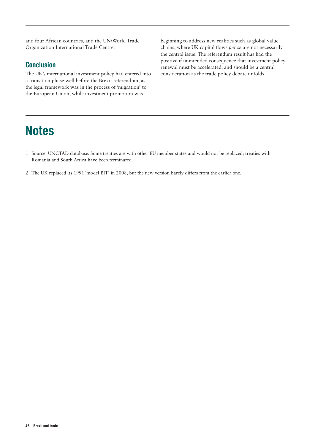and four African countries, and the UN/World Trade Organization International Trade Centre.

## **Conclusion**

The UK's international investment policy had entered into a transition phase well before the Brexit referendum, as the legal framework was in the process of 'migration' to the European Union, while investment promotion was

# **Notes**

beginning to address new realities such as global value chains, where UK capital flows *per se* are not necessarily the central issue. The referendum result has had the positive if unintended consequence that investment policy renewal must be accelerated, and should be a central consideration as the trade policy debate unfolds.

- 1 Source: UNCTAD database. Some treaties are with other EU member states and would not be replaced; treaties with Romania and South Africa have been terminated.
- 2 The UK replaced its 1991 'model BIT' in 2008, but the new version barely differs from the earlier one.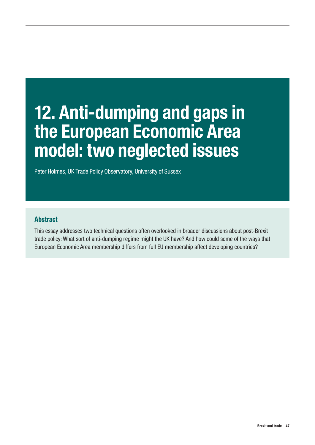# 12. Anti-dumping and gaps in the European Economic Area model: two neglected issues

Peter Holmes, UK Trade Policy Observatory, University of Sussex

# Abstract

This essay addresses two technical questions often overlooked in broader discussions about post-Brexit trade policy: What sort of anti-dumping regime might the UK have? And how could some of the ways that European Economic Area membership differs from full EU membership affect developing countries?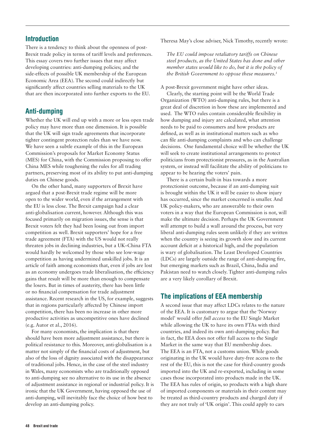There is a tendency to think about the openness of post-Brexit trade policy in terms of tariff levels and preferences. This essay covers two further issues that may affect developing countries: anti-dumping policies; and the side-effects of possible UK membership of the European Economic Area (EEA). The second could indirectly but significantly affect countries selling materials to the UK that are then incorporated into further exports to the EU.

# Anti-dumping

Whether the UK will end up with a more or less open trade policy may have more than one dimension. It is possible that the UK will sign trade agreements that incorporate tighter contingent protection rules than we have now. We have seen a subtle example of this in the European Commission's proposals for Market Economy Status (MES) for China, with the Commission proposing to offer China MES while toughening the rules for all trading partners, preserving most of its ability to put anti-dumping duties on Chinese goods.

On the other hand, many supporters of Brexit have argued that a post-Brexit trade regime will be more open to the wider world, even if the arrangement with the EU is less close. The Brexit campaign had a clear anti-globalisation current, however. Although this was focused primarily on migration issues, the sense is that Brexit voters felt they had been losing out from import competition as well. Brexit supporters' hope for a free trade agreement (FTA) with the US would not really threaten jobs in declining industries, but a UK–China FTA would hardly be welcomed by those who see low-wage competition as having undermined unskilled jobs. It is an article of faith among economists that, even if jobs are lost as an economy undergoes trade liberalisation, the efficiency gains that result will be more than enough to compensate the losers. But in times of austerity, there has been little or no financial compensation for trade adjustment assistance. Recent research in the US, for example, suggests that in regions particularly affected by Chinese import competition, there has been no increase in other more productive activities as uncompetitive ones have declined (e.g. Autor et al., 2016).

For many economists, the implication is that there should have been more adjustment assistance, but there is political resistance to this. Moreover, anti-globalisation is a matter not simply of the financial costs of adjustment, but also of the loss of dignity associated with the disappearance of traditional jobs. Hence, in the case of the steel industry in Wales, many economists who are traditionally opposed to anti-dumping see no alternative to its use in the absence of adjustment assistance in regional or industrial policy. It is ironic that the UK Government, having opposed the use of anti-dumping, will inevitably face the choice of how best to develop an anti-dumping policy.

Theresa May's close adviser, Nick Timothy, recently wrote:

*The EU could impose retaliatory tariffs on Chinese steel products, as the United States has done and other member states would like to do, but it is the policy of the British Government to oppose these measures.1*

A post-Brexit government might have other ideas.

Clearly, the starting point will be the World Trade Organization (WTO) anti-dumping rules, but there is a great deal of discretion in how these are implemented and used. The WTO rules contain considerable flexibility in how dumping and injury are calculated, what attention needs to be paid to consumers and how products are defined, as well as in institutional matters such as who can file anti-dumping complaints and who can challenge decisions. One fundamental choice will be whether the UK will seek to create institutional arrangements to protect politicians from protectionist pressures, as in the Australian system, or instead will facilitate the ability of politicians to appear to be hearing the voters' pain.

There is a certain built-in bias towards a more protectionist outcome, because if an anti-dumping suit is brought within the UK it will be easier to show injury has occurred, since the market concerned is smaller. And UK policy-makers, who are answerable to their own voters in a way that the European Commission is not, will make the ultimate decision. Perhaps the UK Government will attempt to build a wall around the process, but very liberal anti-dumping rules seem unlikely if they are written when the country is seeing its growth slow and its current account deficit at a historical high, and the population is wary of globalisation. The Least Developed Countries (LDCs) are largely outside the range of anti-dumping fire, but emerging markets such as Brazil, China, India and Pakistan need to watch closely. Tighter anti-dumping rules are a very likely corollary of Brexit.

## The implications of EEA membership

A second issue that may affect LDCs relates to the nature of the EEA. It is customary to argue that the 'Norway model' would offer *full access* to the EU Single Market while allowing the UK to have its own FTAs with third countries, and indeed its own anti-dumping policy. But in fact, the EEA does not offer full access to the Single Market in the same way that EU membership does. The EEA is an FTA, not a customs union. While goods originating in the UK would have duty-free access to the rest of the EU, this is not the case for third-country goods imported into the UK and re-exported, including in some cases those incorporated into products made in the UK. The EEA has rules of origin, so products with a high share of imported components or materials in their content may be treated as third-country products and charged duty if they are not truly of 'UK origin'. This could apply to cars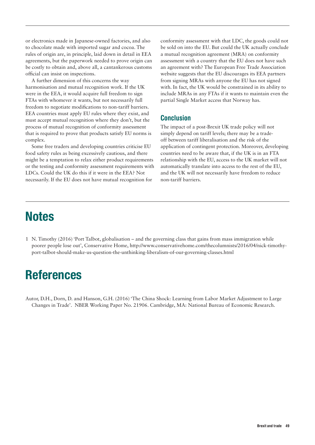or electronics made in Japanese-owned factories, and also to chocolate made with imported sugar and cocoa. The rules of origin are, in principle, laid down in detail in EEA agreements, but the paperwork needed to prove origin can be costly to obtain and, above all, a cantankerous customs official can insist on inspections.

A further dimension of this concerns the way harmonisation and mutual recognition work. If the UK were in the EEA, it would acquire full freedom to sign FTAs with whomever it wants, but not necessarily full freedom to negotiate modifications to non-tariff barriers. EEA countries must apply EU rules where they exist, and must accept mutual recognition where they don't, but the process of mutual recognition of conformity assessment that is required to prove that products satisfy EU norms is complex.

Some free traders and developing countries criticise EU food safety rules as being excessively cautious, and there might be a temptation to relax either product requirements or the testing and conformity assessment requirements with LDCs. Could the UK do this if it were in the EEA? Not necessarily. If the EU does not have mutual recognition for

conformity assessment with that LDC, the goods could not be sold on into the EU. But could the UK actually conclude a mutual recognition agreement (MRA) on conformity assessment with a country that the EU does not have such an agreement with? The European Free Trade Association website suggests that the EU discourages its EEA partners from signing MRAs with anyone the EU has not signed with. In fact, the UK would be constrained in its ability to include MRAs in any FTAs if it wants to maintain even the partial Single Market access that Norway has.

### Conclusion

The impact of a post-Brexit UK trade policy will not simply depend on tariff levels; there may be a tradeoff between tariff liberalisation and the risk of the application of contingent protection. Moreover, developing countries need to be aware that, if the UK is in an FTA relationship with the EU, access to the UK market will not automatically translate into access to the rest of the EU, and the UK will not necessarily have freedom to reduce non-tariff barriers.

# **Notes**

1 N. Timothy (2016) 'Port Talbot, globalisation – and the governing class that gains from mass immigration while poorer people lose out', Conservative Home, [http://www.conservativehome.com/thecolumnists/2016/04/nick-timothy](http://www.conservativehome.com/thecolumnists/2016/04/nick-timothy-port-talbot-should-make-us-question-the-unthinking-liberalism-of-our-governing-classes.html)[port-talbot-should-make-us-question-the-unthinking-liberalism-of-our-governing-classes.html](http://www.conservativehome.com/thecolumnists/2016/04/nick-timothy-port-talbot-should-make-us-question-the-unthinking-liberalism-of-our-governing-classes.html)

# References

Autor, D.H., Dorn, D. and Hanson, G.H. (2016) 'The China Shock: Learning from Labor Market Adjustment to Large Changes in Trade'. NBER Working Paper No. 21906. Cambridge, MA: National Bureau of Economic Research.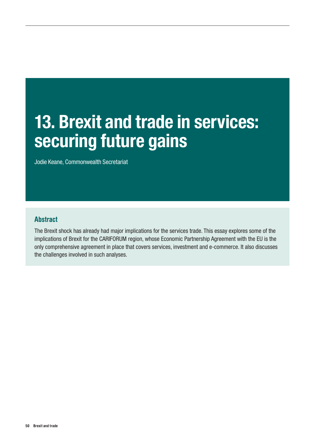# 13. Brexit and trade in services: securing future gains

Jodie Keane, Commonwealth Secretariat

## Abstract

The Brexit shock has already had major implications for the services trade. This essay explores some of the implications of Brexit for the CARIFORUM region, whose Economic Partnership Agreement with the EU is the only comprehensive agreement in place that covers services, investment and e-commerce. It also discusses the challenges involved in such analyses.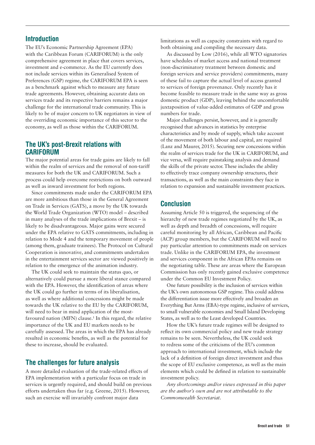The EU's Economic Partnership Agreement (EPA) with the Caribbean Forum (CARIFORUM) is the only comprehensive agreement in place that covers services, investment and e-commerce. As the EU currently does not include services within its Generalised System of Preferences (GSP) regime, the CARIFORUM EPA is seen as a benchmark against which to measure any future trade agreements. However, obtaining accurate data on services trade and its respective barriers remains a major challenge for the international trade community. This is likely to be of major concern to UK negotiators in view of the overriding economic importance of this sector to the economy, as well as those within the CARIFORUM.

### The UK's post-Brexit relations with CARIFORUM

The major potential areas for trade gains are likely to fall within the realm of services and the removal of non-tariff measures for both the UK and CARIFORUM. Such a process could help overcome restrictions on both outward as well as inward investment for both regions.

Since commitments made under the CARIFORUM EPA are more ambitious than those in the General Agreement on Trade in Services (GATS), a move by the UK towards the World Trade Organization (WTO) model – described in many analyses of the trade implications of Brexit – is likely to be disadvantageous. Major gains were secured under the EPA relative to GATS commitments, including in relation to Mode 4 and the temporary movement of people (among them, graduate trainees). The Protocol on Cultural Cooperation is innovative, and commitments undertaken in the entertainment services sector are viewed positively in relation to the emergence of the animation industry.

The UK could seek to maintain the status quo, or alternatively could pursue a more liberal stance compared with the EPA. However, the identification of areas where the UK could go further in terms of its liberalisation, as well as where additional concessions might be made towards the UK relative to the EU by the CARIFORUM, will need to bear in mind application of the mostfavoured nation (MFN) clause.<sup>1</sup> In this regard, the relative importance of the UK and EU markets needs to be carefully assessed. The areas in which the EPA has already resulted in economic benefits, as well as the potential for these to increase, should be evaluated.

# The challenges for future analysis

A more detailed evaluation of the trade-related effects of EPA implementation with a particular focus on trade in services is urgently required, and should build on previous efforts undertaken thus far (e.g. Greene, 2015). However, such an exercise will invariably confront major data

limitations as well as capacity constraints with regard to both obtaining and compiling the necessary data.

As discussed by Low (2016), while all WTO signatories have schedules of market access and national treatment (non-discriminatory treatment between domestic and foreign services and service providers) commitments, many of these fail to capture the actual level of access granted to services of foreign provenance. Only recently has it become feasible to measure trade in the same way as gross domestic product (GDP), leaving behind the uncomfortable juxtaposition of value-added estimates of GDP and gross numbers for trade.

Major challenges persist, however, and it is generally recognised that advances in statistics by enterprise characteristics and by mode of supply, which take account of the movement of both labour and capital, are required (Lanz and Maurer, 2015). Securing new concessions within the realm of services trade for the UK in CARIFORUM, and vice versa, will require painstaking analysis and demand the skills of the private sector. These includes the ability to effectively trace company ownership structures, their transactions, as well as the main constraints they face in relation to expansion and sustainable investment practices.

# Conclusion

Assuming Article 50 is triggered, the sequencing of the hierarchy of new trade regimes negotiated by the UK, as well as depth and breadth of concessions, will require careful monitoring by all African, Caribbean and Pacific (ACP) group members, but the CARIFORUM will need to pay particular attention to commitments made on services trade. Unlike in the CARIFORUM EPA, the investment and services component in the African EPAs remains on the negotiating table. These are areas where the European Commission has only recently gained exclusive competence under the Common EU Investment Policy.

One future possibility is the inclusion of services within the UK's own autonomous GSP regime. This could address the differentiation issue more effectively and broaden an Everything But Arms (EBA)-type regime, inclusive of services, to small vulnerable economies and Small Island Developing States, as well as to the Least developed Countries.

How the UK's future trade regimes will be designed to reflect its own commercial policy and new trade strategy remains to be seen. Nevertheless, the UK could seek to redress some of the criticisms of the EU's common approach to international investment, which include the lack of a definition of foreign direct investment and thus the scope of EU exclusive competence, as well as the main elements which could be defined in relation to sustainable investment policy.

*Any shortcomings and/or views expressed in this paper are the author's own and are not attributable to the Commonwealth Secretariat.*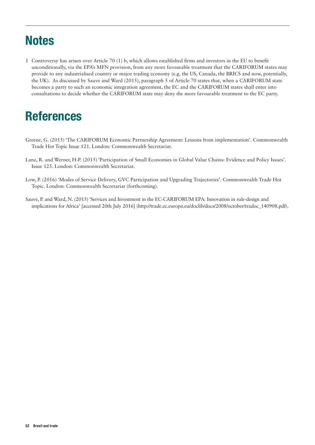# **Notes**

1 Controversy has arisen over Article 70 (1) b, which allows established firms and investors in the EU to benefit unconditionally, via the EPA's MFN provision, from any more favourable treatment that the CARIFORUM states may provide to any industrialised country or major trading economy (e.g. the US, Canada, the BRICS and now, potentially, the UK). As discussed by Sauve and Ward (2015), paragraph 5 of Article 70 states that, when a CARIFORUM state becomes a party to such an economic integration agreement, the EC and the CARIFORUM states shall enter into consultations to decide whether the CARIFORUM state may deny the more favourable treatment to the EC party.

# References

- Greene, G. (2015) 'The CARIFORUM Economic Partnership Agreement: Lessons from implementation'. Commonwealth Trade Hot Topic Issue 121. London: Commonwealth Secretariat.
- Lanz, R. and Werner, H-P. (2015) 'Participation of Small Economies in Global Value Chains: Evidence and Policy Issues'. Issue 125. London: Commonwealth Secretariat.
- Low, P. (2016) 'Modes of Service Delivery, GVC Participation and Upgrading Trajectories'. Commonwealth Trade Hot Topic. London: Commonwealth Secretariat (forthcoming).
- Sauve, P. and Ward, N. (2015) 'Services and Investment in the EC-CARIFORUM EPA: Innovation in rule-design and implications for Africa' [accessed 20th July 2016] [\(http://trade.ec.europa.eu/doclib/docs/2008/october/tradoc\\_140908.pdf](http://trade.ec.europa.eu/doclib/docs/2008/october/tradoc_140908.pdf)).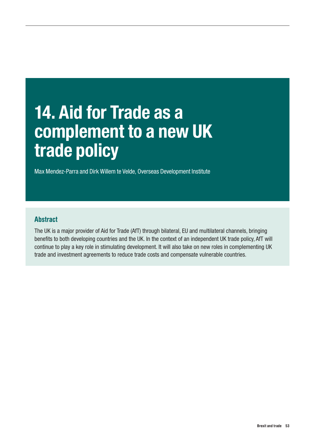# 14. Aid for Trade as a complement to a new UK trade policy

Max Mendez-Parra and Dirk Willem te Velde, Overseas Development Institute

## Abstract

The UK is a major provider of Aid for Trade (AfT) through bilateral, EU and multilateral channels, bringing benefits to both developing countries and the UK. In the context of an independent UK trade policy, AfT will continue to play a key role in stimulating development. It will also take on new roles in complementing UK trade and investment agreements to reduce trade costs and compensate vulnerable countries.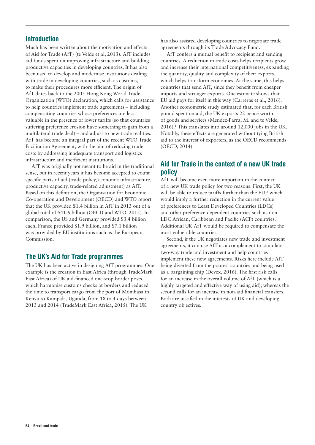Much has been written about the motivation and effects of Aid for Trade (AfT) (te Velde et al, 2013). AfT includes aid funds spent on improving infrastructure and building productive capacities in developing countries. It has also been used to develop and modernise institutions dealing with trade in developing countries, such as customs, to make their procedures more efficient. The origin of AfT dates back to the 2005 Hong Kong World Trade Organization (WTO) declaration, which calls for assistance to help countries implement trade agreements – including compensating countries whose preferences are less valuable in the presence of lower tariffs (so that countries suffering preference erosion have something to gain from a multilateral trade deal) – and adjust to new trade realities. AfT has become an integral part of the recent WTO Trade Facilitation Agreement, with the aim of reducing trade costs by addressing inadequate transport and logistics infrastructure and inefficient institutions.

AfT was originally not meant to be aid in the traditional sense, but in recent years it has become accepted to count specific parts of aid (trade policy, economic infrastructure, productive capacity, trade-related adjustment) as AfT. Based on this definition, the Organisation for Economic Co-operation and Development (OECD) and WTO report that the UK provided \$1.4 billion in AfT in 2013 out of a global total of \$41.6 billion (OECD and WTO, 2015). In comparison, the US and Germany provided \$3.4 billion each, France provided \$1.9 billion, and \$7.1 billion was provided by EU institutions such as the European Commission.

## The UK's Aid for Trade programmes

The UK has been active in designing AfT programmes. One example is the creation in East Africa (through TradeMark East Africa) of UK aid-financed one-stop border posts, which harmonise customs checks at borders and reduced the time to transport cargo from the port of Mombasa in Kenya to Kampala, Uganda, from 18 to 4 days between 2013 and 2014 (TradeMark East Africa, 2015). The UK

has also assisted developing countries to negotiate trade agreements through its Trade Advocacy Fund.

AfT confers a mutual benefit to recipient and sending countries. A reduction in trade costs helps recipients grow and increase their international competitiveness, expanding the quantity, quality and complexity of their exports, which helps transform economies. At the same, this helps countries that send AfT, since they benefit from cheaper imports and stronger exports. One estimate shows that EU aid pays for itself in this way (Carreras et al., 2016). Another econometric study estimated that, for each British pound spent on aid, the UK exports 22 pence worth of goods and services (Mendez-Parra, M. and te Velde, 2016).1 This translates into around 12,000 jobs in the UK. Notably, these effects are generated without tying British aid to the interest of exporters, as the OECD recommends (OECD, 2014).

# Aid for Trade in the context of a new UK trade policy

AfT will become even more important in the context of a new UK trade policy for two reasons. First, the UK will be able to reduce tariffs further than the  $EU^2$ , which would imply a further reduction in the current value of preferences to Least Developed Countries (LDCs) and other preference-dependent countries such as non-LDC African, Caribbean and Pacific (ACP) countries.<sup>3</sup> Additional UK AfT would be required to compensate the most vulnerable countries.

Second, if the UK negotiates new trade and investment agreements, it can use AfT as a complement to stimulate two-way trade and investment and help countries implement these new agreements. Risks here include AfT being diverted from the poorest countries and being used as a bargaining chip (Devex, 2016). The first risk calls for an increase in the overall volume of AfT (which is a highly targeted and effective way of using aid), whereas the second calls for an increase in non-aid financial transfers. Both are justified in the interests of UK and developing country objectives.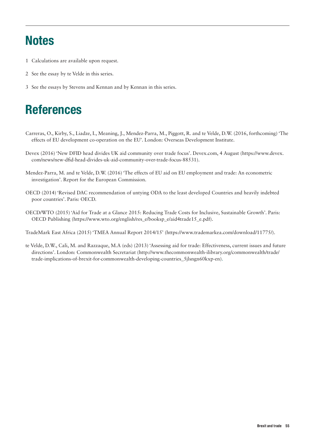# **Notes**

- 1 Calculations are available upon request.
- 2 See the essay by te Velde in this series.
- 3 See the essays by Stevens and Kennan and by Kennan in this series.

# References

- Carreras, O., Kirby, S., Liadze, I., Meaning, J., Mendez-Parra, M., Piggott, R. and te Velde, D.W. (2016, forthcoming) 'The effects of EU development co-operation on the EU'. London: Overseas Development Institute.
- Devex (2016) 'New DFID head divides UK aid community over trade focus'. Devex.com, 4 August (https://www.devex. com/news/new-dfid-head-divides-uk-aid-community-over-trade-focus-88531).
- Mendez-Parra, M. and te Velde, D.W. (2016) 'The effects of EU aid on EU employment and trade: An econometric investigation'. Report for the European Commission.
- OECD (2014) 'Revised DAC recommendation of untying ODA to the least developed Countries and heavily indebted poor countries'. Paris: OECD.
- OECD/WTO (2015) 'Aid for Trade at a Glance 2015: Reducing Trade Costs for Inclusive, Sustainable Growth'. Paris: OECD Publishing (https://www.wto.org/english/res\_e/booksp\_e/aid4trade15\_e.pdf).

TradeMark East Africa (2015) 'TMEA Annual Report 2014/15' ([https://www.trademarkea.com/download/11775/\)](https://www.trademarkea.com/download/11775/).

te Velde, D.W., Cali, M. and Razzaque, M.A (eds) (2013) 'Assessing aid for trade: Effectiveness, current issues and future directions'. London: Commonwealth Secretariat ([http://www.thecommonwealth-ilibrary.org/commonwealth/trade/](http://www.thecommonwealth-ilibrary.org/commonwealth/trade/trade-implications-of-brexit-for-commonwealth-developing-countries_5jlsngn60kxp-en) [trade-implications-of-brexit-for-commonwealth-developing-countries\\_5jlsngn60kxp-en\)](http://www.thecommonwealth-ilibrary.org/commonwealth/trade/trade-implications-of-brexit-for-commonwealth-developing-countries_5jlsngn60kxp-en).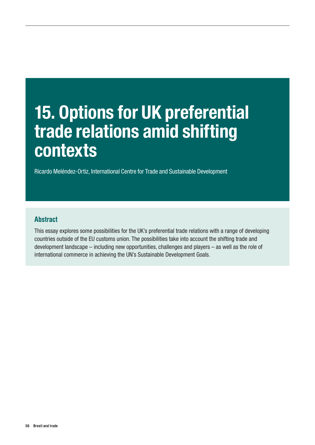# 15. Options for UK preferential trade relations amid shifting **contexts**

Ricardo Meléndez-Ortiz, International Centre for Trade and Sustainable Development

# Abstract

This essay explores some possibilities for the UK's preferential trade relations with a range of developing countries outside of the EU customs union. The possibilities take into account the shifting trade and development landscape – including new opportunities, challenges and players – as well as the role of international commerce in achieving the UN's Sustainable Development Goals.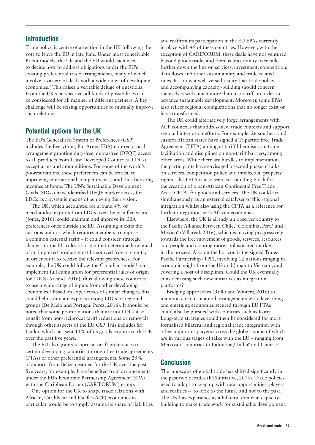Trade policy is centre of attention in the UK following the vote to leave the EU in late June. Under most conceivable Brexit models, the UK and the EU would each need to decide how to address obligations under the EU's existing preferential trade arrangements, many of which involve a variety of deals with a wide range of developing economies.<sup>1</sup> This raises a veritable deluge of questions. From the UK's perspective, all kinds of possibilities can be considered for all manner of different partners. A key challenge will be seizing opportunities to mutually improve such relations.

## Potential options for the UK

The EU's Generalised System of Preferences (GSP) includes the Everything But Arms (EBA) non-reciprocal arrangement granting duty-free, quota-free (DFQF) access to all products from Least Developed Countries (LDCs), except arms and ammunitions. For some of the world's poorest nations, these preferences can be critical to improving international competitiveness and thus boosting incomes at home. The UN's Sustainable Development Goals (SDGs) have identified DFQF market access for LDCs as a systemic means of achieving their vision.

The UK, which accounted for around 4% of merchandise exports from LDCs over the past five years (Jones, 2016), could maintain and improve its EBA preferences once outside the EU. Assuming it exits the customs union – which requires members to impose a common external tariff – it could consider strategic changes to the EU rules of origin that determine how much of an imported product must be sourced from a country in order for it to receive the relevant preferences. For example, the UK could follow the Canadian model<sup>2</sup> and implement full cumulation for preferential rules of origin for LDCs (Arcand, 2016), thus allowing these countries to use a wide range of inputs from other developing economies.3 Based on experiences of similar changes, this could help stimulate exports among LDCs or regional groups (De Melo and Portugal Perez, 2016). It should be noted that some poorer nations that are not LDCs also benefit from non-reciprocal tariff reductions or removals through other aspects of the EU GSP. This includes Sri Lanka, which has sent 11% of its goods exports to the UK over the past five years.

The EU also grants reciprocal tariff preferences to certain developing countries through free trade agreements (FTAs) or other preferential arrangements. Some 25% of exports from Belize destined for the UK over the past five years, for example, have benefited from arrangements under the EU's Economic Partnership Agreement (EPA) with the Caribbean Forum (CARIFORUM) group.

One option for the UK to shape trade relations with African, Caribbean and Pacific (ACP) economies in particular would be to simply assume its share of liabilities and reaffirm its participation in the EU EPAs currently in place with 49 of these countries. However, with the exception of CARIFORUM, these deals have not ventured beyond goods trade, and there is uncertainty over talks further down the line on services, investment, competition, data flows and other sustainability and trade-related rules. It is now a well-versed reality that trade policy and accompanying capacity-building should concern themselves with much more than just tariffs in order to advance sustainable development. Moreover, some EPAs also reflect regional configurations that no longer exist or have transformed.

The UK could alternatively forge arrangements with ACP countries that address new trade contexts and support regional integration efforts. For example, 26 southern and eastern African states have signed a Tripartite Free Trade Agreement (TFTA) aiming at tariff liberalisation, trade facilitation and disciplines on non-tariff barriers, among other areas. While there are hurdles to implementation, the participants have envisaged a second phase of talks on services, competition policy and intellectual property rights. The TFTA is also seen as a building block for the creation of a pan-African Continental Free Trade Area (CFTA) for goods and services. The UK could act simultaneously as an external catalyser of this regional integration whilst also using the CFTA as a reference for further integration with African economies.

Elsewhere, the UK is already an observer country to the Pacific Alliance between Chile,<sup>4</sup> Colombia, Peru<sup>5</sup> and Mexico<sup>6</sup> (Villareal, 2016), which is moving progressively towards the free movement of goods, services, resources and people and creating more sophisticated markets in the process. Also on the horizon is the signed Trans-Pacific Partnership (TPP), involving 12 nations ranging in economic might from the US and Japan to Vietnam, and covering a host of disciplines. Could the UK eventually consider using such new initiatives as integration platforms?

Bridging approaches (Rollo and Winters, 2016) to maintain current bilateral arrangements with developing and emerging economies secured through EU FTAs could also be pursued with countries such as Korea. Long-term strategies could then be considered for more formalised bilateral and regional trade integration with other important players across the globe – some of which are in various stages of talks with the EU – ranging from Mercosur<sup>7</sup> countries to Indonesia,<sup>8</sup> India<sup>9</sup> and China.<sup>10</sup>

## Conclusion

The landscape of global trade has shifted significantly in the past two decades (E15Initiative, 2016). Trade policies need to adapt to keep up with new opportunities, players and realities – to look to the future and not to the past. The UK has experience as a bilateral donor in capacitybuilding to make trade work for sustainable development.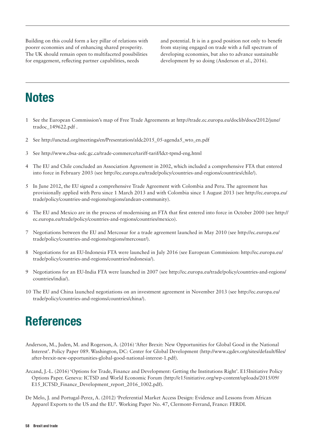Building on this could form a key pillar of relations with poorer economies and of enhancing shared prosperity. The UK should remain open to multifaceted possibilities for engagement, reflecting partner capabilities, needs

and potential. It is in a good position not only to benefit from staying engaged on trade with a full spectrum of developing economies, but also to advance sustainable development by so doing (Anderson et al., 2016).

# **Notes**

- 1 See the European Commission's map of Free Trade Agreements at http://trade.ec.europa.eu/doclib/docs/2012/june/ tradoc\_149622.pdf .
- 2 See [http://unctad.org/meetings/en/Presentation/aldc2015\\_05-agenda5\\_wto\\_en.pdf](http://unctad.org/meetings/en/Presentation/aldc2015_05-agenda5_wto_en.pdf)
- 3 See<http://www.cbsa-asfc.gc.ca/trade-commerce/tariff-tarif/ldct-tpmd-eng.html>
- 4 The EU and Chile concluded an Association Agreement in 2002, which included a comprehensive FTA that entered into force in February 2003 (see [http://ec.europa.eu/trade/policy/countries-and-regions/countries/chile/\)](http://ec.europa.eu/trade/policy/countries-and-regions/countries/chile/).
- 5 In June 2012, the EU signed a comprehensive Trade Agreement with Colombia and Peru. The agreement has provisionally applied with Peru since 1 March 2013 and with Colombia since 1 August 2013 (see [http://ec.europa.eu/](http://ec.europa.eu/trade/policy/countries-and-regions/regions/andean-community) [trade/policy/countries-and-regions/regions/andean-community](http://ec.europa.eu/trade/policy/countries-and-regions/regions/andean-community)).
- 6 The EU and Mexico are in the process of modernising an FTA that first entered into force in October 2000 (see [http://](http://ec.europa.eu/trade/policy/countries-and-regions/countries/mexico) [ec.europa.eu/trade/policy/countries-and-regions/countries/mexico\)](http://ec.europa.eu/trade/policy/countries-and-regions/countries/mexico).
- 7 Negotiations between the EU and Mercosur for a trade agreement launched in May 2010 (see [http://ec.europa.eu/](http://ec.europa.eu/trade/policy/countries-and-regions/regions/mercosur/) [trade/policy/countries-and-regions/regions/mercosur/\)](http://ec.europa.eu/trade/policy/countries-and-regions/regions/mercosur/).
- 8 Negotiations for an EU-Indonesia FTA were launched in July 2016 (see European Commission: [http://ec.europa.eu/](http://ec.europa.eu/trade/policy/countries-and-regions/countries/indonesia/) [trade/policy/countries-and-regions/countries/indonesia/\)](http://ec.europa.eu/trade/policy/countries-and-regions/countries/indonesia/).
- 9 Negotiations for an EU-India FTA were launched in 2007 (see [http://ec.europa.eu/trade/policy/countries-and-regions/](http://ec.europa.eu/trade/policy/countries-and-regions/countries/india/) [countries/india/\)](http://ec.europa.eu/trade/policy/countries-and-regions/countries/india/).
- 10 The EU and China launched negotiations on an investment agreement in November 2013 (see [http://ec.europa.eu/](http://ec.europa.eu/trade/policy/countries-and-regions/countries/china/) [trade/policy/countries-and-regions/countries/china/\)](http://ec.europa.eu/trade/policy/countries-and-regions/countries/china/).

# References

- Anderson, M., Juden, M. and Rogerson, A. (2016) 'After Brexit: New Opportunities for Global Good in the National Interest'*.* Policy Paper 089. Washington, DC: Center for Global Development ([http://www.cgdev.org/sites/default/files/](http://www.cgdev.org/sites/default/files/after-brexit-new-opportunities-global-good-national-interest-1.pdf) [after-brexit-new-opportunities-global-good-national-interest-1.pdf](http://www.cgdev.org/sites/default/files/after-brexit-new-opportunities-global-good-national-interest-1.pdf)).
- Arcand, J.-L. (2016) 'Options for Trade, Finance and Development: Getting the Institutions Right'*.* E15Initiative Policy Options Paper. Geneva: ICTSD and World Economic Forum [\(http://e15initiative.org/wp-content/uploads/2015/09/](http://e15initiative.org/wp-content/uploads/2015/09/E15_ICTSD_Finance_Development_report_2016_1002.pdf) [E15\\_ICTSD\\_Finance\\_Development\\_report\\_2016\\_1002.pdf](http://e15initiative.org/wp-content/uploads/2015/09/E15_ICTSD_Finance_Development_report_2016_1002.pdf)).
- De Melo, J. and Portugal-Perez, A. (2012) 'Preferential Market Access Design: Evidence and Lessons from African Apparel Exports to the US and the EU'. Working Paper No. 47, Clermont-Ferrand, France: FERDI.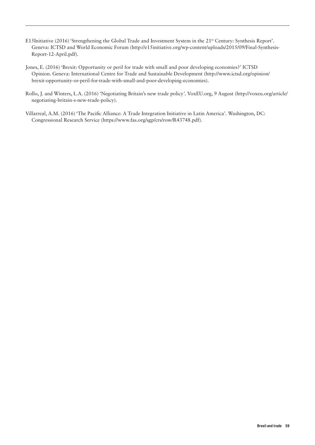- E15Initiative (2016) 'Strengthening the Global Trade and Investment System in the 21st Century: Synthesis Report'*.*  Geneva: ICTSD and World Economic Forum [\(http://e15initiative.org/wp-content/uploads/2015/09/Final-Synthesis-](http://e15initiative.org/wp-content/uploads/2015/09/Final-Synthesis-Report-12-April.pdf)[Report-12-April.pdf\)](http://e15initiative.org/wp-content/uploads/2015/09/Final-Synthesis-Report-12-April.pdf).
- Jones, E. (2016) 'Brexit: Opportunity or peril for trade with small and poor developing economies?' ICTSD Opinion. Geneva: International Centre for Trade and Sustainable Development ([http://www.ictsd.org/opinion/](http://www.ictsd.org/opinion/brexit-opportunity-or-peril-for-trade-with-small-and-poor-developing-economies) [brexit-opportunity-or-peril-for-trade-with-small-and-poor-developing-economies](http://www.ictsd.org/opinion/brexit-opportunity-or-peril-for-trade-with-small-and-poor-developing-economies)).
- Rollo, J. and Winters, L.A. (2016) 'Negotiating Britain's new trade policy*'.* VoxEU.org, 9 August [\(http://voxeu.org/article/](http://voxeu.org/article/negotiating-britain-s-new-trade-policy)) [negotiating-britain-s-new-trade-policy\).](http://voxeu.org/article/negotiating-britain-s-new-trade-policy))
- Villarreal, A.M. (2016) 'The Pacific Alliance: A Trade Integration Initiative in Latin America'*.* Washington, DC: Congressional Research Service [\(https://www.fas.org/sgp/crs/row/R43748.pdf\)](https://www.fas.org/sgp/crs/row/R43748.pdf).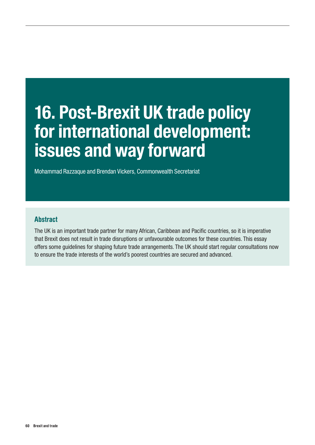# 16. Post-Brexit UK trade policy for international development: issues and way forward

Mohammad Razzaque and Brendan Vickers, Commonwealth Secretariat

### Abstract

The UK is an important trade partner for many African, Caribbean and Pacific countries, so it is imperative that Brexit does not result in trade disruptions or unfavourable outcomes for these countries. This essay offers some guidelines for shaping future trade arrangements. The UK should start regular consultations now to ensure the trade interests of the world's poorest countries are secured and advanced.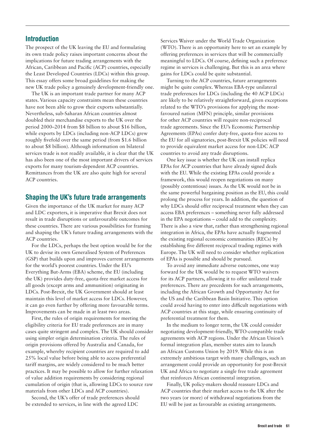The prospect of the UK leaving the EU and formulating its own trade policy raises important concerns about the implications for future trading arrangements with the African, Caribbean and Pacific (ACP) countries, especially the Least Developed Countries (LDCs) within this group. This essay offers some broad guidelines for making the new UK trade policy a genuinely development-friendly one.

The UK is an important trade partner for many ACP states. Various capacity constraints mean these countries have not been able to grow their exports substantially. Nevertheless, sub-Saharan African countries almost doubled their merchandise exports to the UK over the period 2000–2014 from \$8 billion to about \$16 billion, while exports by LDCs (including non-ACP LDCs) grew roughly fivefold over the same period (from \$1.6 billion to about \$8 billion). Although information on bilateral services trade is not readily available, it is clear that the UK has also been one of the most important drivers of services exports for many tourism-dependent ACP countries. Remittances from the UK are also quite high for several ACP countries.

#### Shaping the UK's future trade arrangements

Given the importance of the UK market for many ACP and LDC exporters, it is imperative that Brexit does not result in trade disruptions or unfavourable outcomes for these countries. There are various possibilities for framing and shaping the UK's future trading arrangements with the ACP countries.

For the LDCs, perhaps the best option would be for the UK to devise its own Generalised System of Preferences (GSP) that builds upon and improves current arrangements for the world's poorest countries. Under the EU's Everything But-Arms (EBA) scheme, the EU (including the UK) provides duty-free, quota-free market access for all goods (except arms and ammunition) originating in LDCs. Post-Brexit, the UK Government should at least maintain this level of market access for LDCs. However, it can go even further by offering more favourable terms. Improvements can be made in at least two areas.

First, the rules of origin requirements for meeting the eligibility criteria for EU trade preferences are in many cases quite stringent and complex. The UK should consider using simpler origin determination criteria. The rules of origin provisions offered by Australia and Canada, for example, whereby recipient countries are required to add 25% local value before being able to access preferential tariff margins, are widely considered to be much better practices. It may be possible to allow for further relaxation of value addition requirements by considering regional cumulation of origin (that is, allowing LDCs to source raw materials from other LDCs and ACP countries).

Second, the UK's offer of trade preferences should be extended to services, in line with the agreed LDC

Services Waiver under the World Trade Organization (WTO). There is an opportunity here to set an example by offering preferences in services that will be commercially meaningful to LDCs. Of course, defining such a preference regime in services is challenging. But this is an area where gains for LDCs could be quite substantial.

Turning to the ACP countries, future arrangements might be quite complex. Whereas EBA-type unilateral trade preferences for LDCs (including the 40 ACP LDCs) are likely to be relatively straightforward, given exceptions related to the WTO's provisions for applying the mostfavoured nation (MFN) principle, similar provisions for other ACP countries will require non-reciprocal trade agreements. Since the EU's Economic Partnership Agreements (EPAs) confer duty-free, quota-free access to the EU for all signatories, post-Brexit UK policies will need to provide equivalent market access for non-LDC ACP countries to avoid any trade disruptions.

One key issue is whether the UK can install replica EPAs for ACP countries that have already signed deals with the EU. While the existing EPAs could provide a framework, this would reopen negotiations on many (possibly contentious) issues. As the UK would not be in the same powerful bargaining position as the EU, this could prolong the process for years. In addition, the question of why LDCs should offer reciprocal treatment when they can access EBA preferences – something never fully addressed in the EPA negotiations – could add to the complexity. There is also a view that, rather than strengthening regional integration in Africa, the EPAs have actually fragmented the existing regional economic communities (RECs) by establishing five different reciprocal trading regimes with Europe. The UK will need to consider whether replication of EPAs is possible and should be pursued.

To avoid any immediate adverse outcomes, one way forward for the UK would be to request WTO waivers for its ACP partners, allowing it to offer unilateral trade preferences. There are precedents for such arrangements, including the African Growth and Opportunity Act for the US and the Caribbean Basin Initiative. This option could avoid having to enter into difficult negotiations with ACP countries at this stage, while ensuring continuity of preferential treatment for them.

In the medium to longer term, the UK could consider negotiating development-friendly, WTO-compatible trade agreements with ACP regions. Under the African Union's formal integration plan, member states aim to launch an African Customs Union by 2019. While this is an extremely ambitious target with many challenges, such an arrangement could provide an opportunity for post-Brexit UK and Africa to negotiate a single free trade agreement that reinforces African continental integration.

Finally, UK policy-makers should reassure LDCs and ACP countries that their market access to the UK after the two years (or more) of withdrawal negotiations from the EU will be just as favourable as existing arrangements.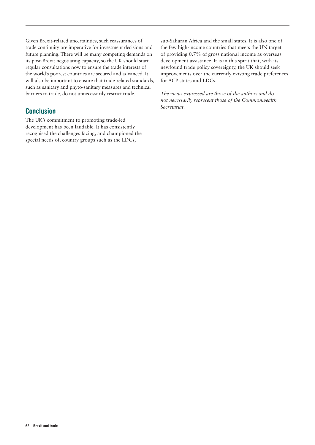Given Brexit-related uncertainties, such reassurances of trade continuity are imperative for investment decisions and future planning. There will be many competing demands on its post-Brexit negotiating capacity, so the UK should start regular consultations now to ensure the trade interests of the world's poorest countries are secured and advanced. It will also be important to ensure that trade-related standards, such as sanitary and phyto-sanitary measures and technical barriers to trade, do not unnecessarily restrict trade.

# Conclusion

The UK's commitment to promoting trade-led development has been laudable. It has consistently recognised the challenges facing, and championed the special needs of, country groups such as the LDCs,

sub-Saharan Africa and the small states. It is also one of the few high-income countries that meets the UN target of providing 0.7% of gross national income as overseas development assistance. It is in this spirit that, with its newfound trade policy sovereignty, the UK should seek improvements over the currently existing trade preferences for ACP states and LDCs.

*The views expressed are those of the authors and do not necessarily represent those of the Commonwealth Secretariat.*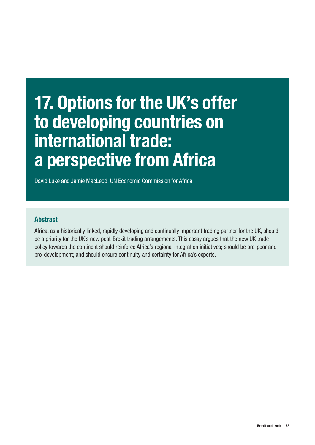# 17. Options for the UK's offer to developing countries on international trade: a perspective from Africa

David Luke and Jamie MacLeod, UN Economic Commission for Africa

# **Abstract**

Africa, as a historically linked, rapidly developing and continually important trading partner for the UK, should be a priority for the UK's new post-Brexit trading arrangements. This essay argues that the new UK trade policy towards the continent should reinforce Africa's regional integration initiatives; should be pro-poor and pro-development; and should ensure continuity and certainty for Africa's exports.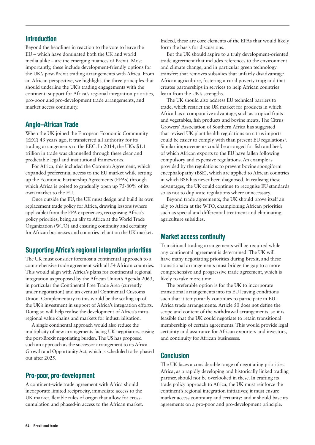Beyond the headlines in reaction to the vote to leave the EU – which have dominated both the UK and world media alike – are the emerging nuances of Brexit. Most importantly, these include development-friendly options for the UK's post-Brexit trading arrangements with Africa. From an African perspective, we highlight, the three principles that should underline the UK's trading engagements with the continent: support for Africa's regional integration priorities, pro-poor and pro-development trade arrangements, and market access continuity.

## Anglo–African Trade

When the UK joined the European Economic Community (EEC) 43 years ago, it transferred all authority for its trading arrangements to the EEC. In 2014, the UK's \$1.1 trillion in trade was channelled through these clear and predictable legal and institutional frameworks.

For Africa, this included the Cotonou Agreement, which expanded preferential access to the EU market while setting up the Economic Partnership Agreements (EPAs) through which Africa is poised to gradually open up 75-80% of its own market to the EU.

Once outside the EU, the UK must design and build its own replacement trade policy for Africa, drawing lessons (where applicable) from the EPA experiences, recognising Africa's policy priorities, being an ally to Africa at the World Trade Organization (WTO) and ensuring continuity and certainty for African businesses and countries reliant on the UK market.

# Supporting Africa's regional integration priorities

The UK must consider foremost a continental approach to a comprehensive trade agreement with all 54 African countries. This would align with Africa's plans for continental regional integration as proposed by the African Union's Agenda 2063, in particular the Continental Free Trade Area (currently under negotiation) and an eventual Continental Customs Union. Complementary to this would be the scaling-up of the UK's investment in support of Africa's integration efforts. Doing so will help realise the development of Africa's intraregional value chains and markets for industrialisation.

A single continental approach would also reduce the multiplicity of new arrangements facing UK negotiators, easing the post-Brexit negotiating burden. The US has proposed such an approach as the successor arrangement to its Africa Growth and Opportunity Act, which is scheduled to be phased out after 2025.

# Pro-poor, pro-development

A continent-wide trade agreement with Africa should incorporate limited reciprocity, immediate access to the UK market, flexible rules of origin that allow for crosscumulation and phased-in access to the African market. Indeed, these are core elements of the EPAs that would likely form the basis for discussions.

But the UK should aspire to a truly development-oriented trade agreement that includes references to the environment and climate change, and in particular green technology transfer; that removes subsidies that unfairly disadvantage African agriculture, fostering a rural poverty trap; and that creates partnerships in services to help African countries learn from the UK's strengths.

The UK should also address EU technical barriers to trade, which restrict the UK market for products in which Africa has a comparative advantage, such as tropical fruits and vegetables, fish products and bovine meats. The Citrus Growers' Association of Southern Africa has suggested that revised UK plant health regulations on citrus imports could be easier to comply with than present EU regulations<sup>1</sup>. Similar improvements could be arranged for fish and beef, of which African exports to the EU have fallen following compulsory and expensive regulations. An example is provided by the regulations to prevent bovine spongiform encephalopathy (BSE), which are applied to African countries in which BSE has never been diagnosed. In realising these advantages, the UK could continue to recognise EU standards so as not to duplicate regulations where unnecessary.

Beyond trade agreements, the UK should prove itself an ally to Africa at the WTO, championing African priorities such as special and differential treatment and eliminating agriculture subsidies.

# Market access continuity

Transitional trading arrangements will be required while any continental agreement is determined. The UK will have many negotiating priorities during Brexit, and these transitional arrangements must bridge the gap to a more comprehensive and progressive trade agreement, which is likely to take more time.

The preferable option is for the UK to incorporate transitional arrangements into its EU leaving conditions such that it temporarily continues to participate in EU– Africa trade arrangements. Article 50 does not define the scope and content of the withdrawal arrangements, so it is feasible that the UK could negotiate to retain transitional membership of certain agreements. This would provide legal certainty and assurance for African exporters and investors, and continuity for African businesses.

# **Conclusion**

The UK faces a considerable range of negotiating priorities. Africa, as a rapidly developing and historically linked trading partner, should not be overlooked in these. In crafting its trade policy approach to Africa, the UK must reinforce the continent's regional integration initiatives; it must ensure market access continuity and certainty; and it should base its agreements on a pro-poor and pro-development principle.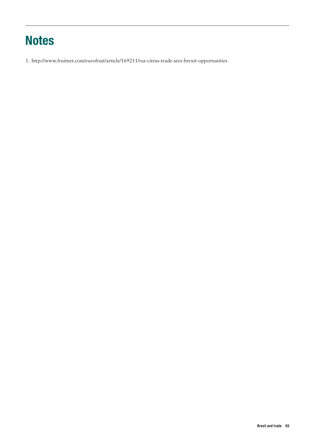# **Notes**

1. <http://www.fruitnet.com/eurofruit/article/169211/rsa-citrus-trade-sees-brexit-opportunities>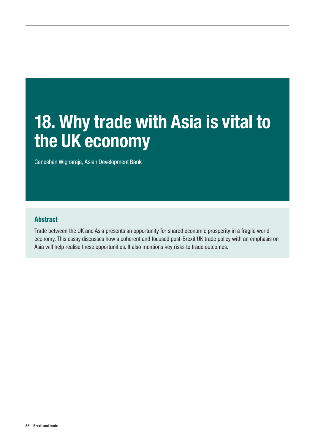# 18. Why trade with Asia is vital to the UK economy

Ganeshan Wignaraja, Asian Development Bank

## Abstract

Trade between the UK and Asia presents an opportunity for shared economic prosperity in a fragile world economy. This essay discusses how a coherent and focused post-Brexit UK trade policy with an emphasis on Asia will help realise these opportunities. It also mentions key risks to trade outcomes.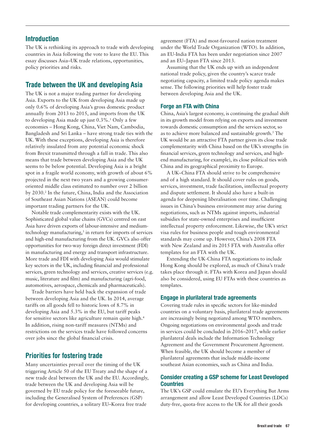The UK is rethinking its approach to trade with developing countries in Asia following the vote to leave the EU. This essay discusses Asia–UK trade relations, opportunities, policy priorities and risks.

## Trade between the UK and developing Asia

The UK is not a major trading partner for developing Asia. Exports to the UK from developing Asia made up only 0.6% of developing Asia's gross domestic product annually from 2013 to 2015, and imports from the UK to developing Asia made up just 0.3%.<sup>1</sup> Only a few economies – Hong Kong, China, Viet Nam, Cambodia, Bangladesh and Sri Lanka – have strong trade ties with the UK. With these exceptions, developing Asia is therefore relatively insulated from any potential economic shock from Brexit transmitted through a fall in trade. This also means that trade between developing Asia and the UK seems to be below potential. Developing Asia is a bright spot in a fragile world economy, with growth of about 6% projected in the next two years and a growing consumeroriented middle class estimated to number over 2 billion by 2030.<sup>2</sup> In the future, China, India and the Association of Southeast Asian Nations (ASEAN) could become important trading partners for the UK.

Notable trade complementarity exists with the UK. Sophisticated global value chains (GVCs) centred on east Asia have driven exports of labour-intensive and mediumtechnology manufacturing,<sup>3</sup> in return for imports of services and high-end manufacturing from the UK. GVCs also offer opportunities for two-way foreign direct investment (FDI) in manufacturing and energy and transport infrastructure. More trade and FDI with developing Asia would stimulate key sectors in the UK, including financial and professional services, green technology and services, creative services (e.g. music, literature and film) and manufacturing (agri-food, automotives, aerospace, chemicals and pharmaceuticals).

Trade barriers have held back the expansion of trade between developing Asia and the UK. In 2014, average tariffs on all goods fell to historic lows of 8.7% in developing Asia and 5.3% in the EU, but tariff peaks for sensitive sectors like agriculture remain quite high.4 In addition, rising non-tariff measures (NTMs) and restrictions on the services trade have followed concerns over jobs since the global financial crisis.

## Priorities for fostering trade

Many uncertainties prevail over the timing of the UK triggering Article 50 of the EU Treaty and the shape of a new trade deal between the UK and the EU. Accordingly, trade between the UK and developing Asia will be governed by EU trade policy for the foreseeable future, including the Generalised System of Preferences (GSP) for developing countries, a solitary EU–Korea free trade

agreement (FTA) and most-favoured nation treatment under the World Trade Organization (WTO). In addition, an EU-India FTA has been under negotiation since 2007 and an EU–Japan FTA since 2013.

Assuming that the UK ends up with an independent national trade policy, given the country's scarce trade negotiating capacity, a limited trade policy agenda makes sense. The following priorities will help foster trade between developing Asia and the UK.

#### Forge an FTA with China

China, Asia's largest economy, is continuing the gradual shift in its growth model from relying on exports and investment towards domestic consumption and the services sector, so as to achieve more balanced and sustainable growth.<sup>5</sup> The UK would be an attractive FTA partner given its close trade complementarity with China based on the UK's strengths (in financial services, green technology and services, and highend manufacturing, for example), its close political ties with China and its geographical proximity to Europe.

A UK–China FTA should strive to be comprehensive and of a high standard. It should cover rules on goods, services, investment, trade facilitation, intellectual property and dispute settlement. It should also have a built-in agenda for deepening liberalisation over time. Challenging issues in China's business environment may arise during negotiations, such as NTMs against imports, industrial subsidies for state-owned enterprises and insufficient intellectual property enforcement. Likewise, the UK's strict visa rules for business people and tough environmental standards may come up. However, China's 2008 FTA with New Zealand and its 2015 FTA with Australia offer templates for an FTA with the UK.

Extending the UK-China FTA negotiations to include Hong Kong should be explored, as much of China's trade takes place through it. FTAs with Korea and Japan should also be considered, using EU FTAs with these countries as templates.

#### Engage in plurilateral trade agreements

Covering trade rules in specific sectors for like-minded countries on a voluntary basis, plurilateral trade agreements are increasingly being negotiated among WTO members. Ongoing negotiations on environmental goods and trade in services could be concluded in 2016–2017, while earlier plurilateral deals include the Information Technology Agreement and the Government Procurement Agreement. When feasible, the UK should become a member of plurilateral agreements that include middle-income southeast Asian economies, such as China and India.

#### Consider creating a GSP scheme for Least Developed **Countries**

The UK's GSP could emulate the EU's Everything But Arms arrangement and allow Least Developed Countries (LDCs) duty-free, quota-free access to the UK for all their goods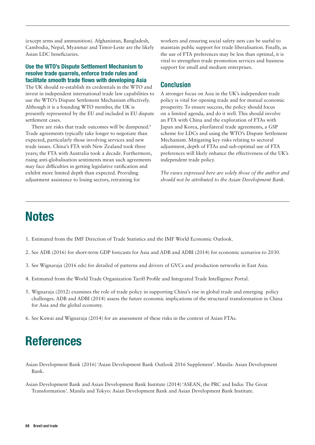(except arms and ammunition). Afghanistan, Bangladesh, Cambodia, Nepal, Myanmar and Timor-Leste are the likely Asian LDC beneficiaries.

#### Use the WTO's Dispute Settlement Mechanism to resolve trade quarrels, enforce trade rules and facilitate smooth trade flows with developing Asia

The UK should re-establish its credentials in the WTO and invest in independent international trade law capabilities to use the WTO's Dispute Settlement Mechanism effectively. Although it is a founding WTO member, the UK is presently represented by the EU and included in EU dispute settlement cases.

There are risks that trade outcomes will be dampened.<sup>6</sup> Trade agreements typically take longer to negotiate than expected, particularly those involving services and new trade issues. China's FTA with New Zealand took three years; the FTA with Australia took a decade. Furthermore, rising anti-globalisation sentiments mean such agreements may face difficulties in getting legislative ratification and exhibit more limited depth than expected. Providing adjustment assistance to losing sectors, retraining for

workers and ensuring social safety nets can be useful to maintain public support for trade liberalisation. Finally, as the use of FTA preferences may be less than optimal, it is vital to strengthen trade promotion services and business support for small and medium enterprises.

## **Conclusion**

A stronger focus on Asia in the UK's independent trade policy is vital for opening trade and for mutual economic prosperity. To ensure success, the policy should focus on a limited agenda, and do it well. This should involve an FTA with China and the exploration of FTAs with Japan and Korea, plurilateral trade agreements, a GSP scheme for LDCs and using the WTO's Dispute Settlement Mechanism. Mitigating key risks relating to sectoral adjustment, depth of FTAs and sub-optimal use of FTA preferences will likely enhance the effectiveness of the UK's independent trade policy.

*The views expressed here are solely those of the author and should not be attributed to the Asian Development Bank.*

# **Notes**

- 1. Estimated from the IMF Direction of Trade Statistics and the IMF World Economic Outlook.
- 2. See ADB (2016) for short-term GDP forecasts for Asia and ADB and ADBI (2014) for economic scenarios to 2030.
- 3. See Wignaraja (2016 eds) for detailed of patterns and drivers of GVCs and production networks in East Asia.
- 4. Estimated from the World Trade Organization Tariff Profile and Integrated Trade Intelligence Portal.
- 5. Wignaraja (2012) examines the role of trade policy in supporting China's rise in global trade and emerging policy challenges. ADB and ADBI (2014) assess the future economic implications of the structural transformation in China for Asia and the global economy.
- 6. See Kawai and Wignaraja (2014) for an assessment of these risks in the context of Asian FTAs.

# References

Asian Development Bank (2016) 'Asian Development Bank Outlook 2016 Supplement'. Manila: Asian Development Bank.

Asian Development Bank and Asian Development Bank Institute (2014) 'ASEAN, the PRC and India: The Great Transformation'. Manila and Tokyo: Asian Development Bank and Asian Development Bank Institute.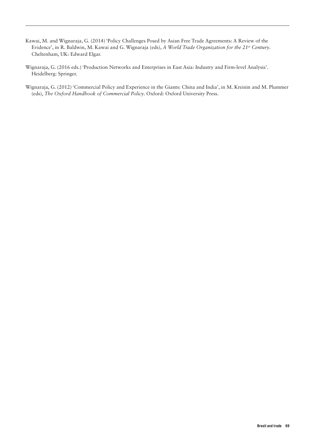- Kawai, M. and Wignaraja, G. (2014) 'Policy Challenges Posed by Asian Free Trade Agreements: A Review of the Evidence', in R. Baldwin, M. Kawai and G. Wignaraja (eds), *A World Trade Organization for the 21st Century*. Cheltenham, UK: Edward Elgar.
- Wignaraja, G. (2016 eds.) 'Production Networks and Enterprises in East Asia: Industry and Firm-level Analysis'. Heidelberg: Springer.
- Wignaraja, G. (2012) 'Commercial Policy and Experience in the Giants: China and India', in M. Kreinin and M. Plummer (eds), *The Oxford Handbook of Commercial Policy*. Oxford: Oxford University Press.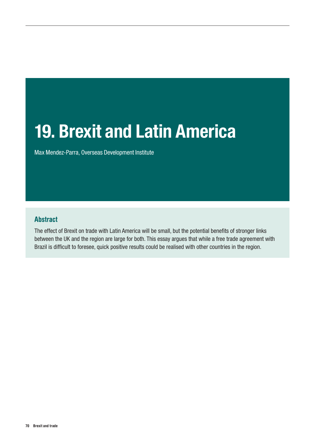# 19. Brexit and Latin America

Max Mendez-Parra, Overseas Development Institute

# Abstract

The effect of Brexit on trade with Latin America will be small, but the potential benefits of stronger links between the UK and the region are large for both. This essay argues that while a free trade agreement with Brazil is difficult to foresee, quick positive results could be realised with other countries in the region.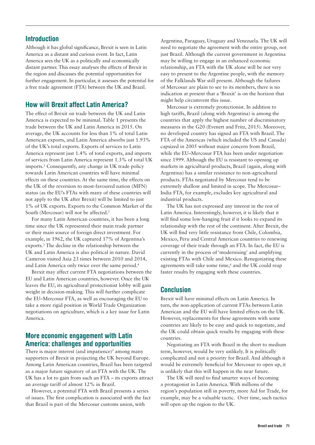Although it has global significance, Brexit is seen in Latin America as a distant and curious event. In fact, Latin America sees the UK as a politically and economically distant partner. This essay analyses the effects of Brexit in the region and discusses the potential opportunities for further engagement. In particular, it assesses the potential for a free trade agreement (FTA) between the UK and Brazil.

### How will Brexit affect Latin America?

The effect of Brexit on trade between the UK and Latin America is expected to be minimal. Table 1 presents the trade between the UK and Latin America in 2015. On average, the UK accounts for less than 1% of total Latin American exports, and Latin America absorbs just 1.93% of the UK's total exports. Exports of services to Latin America represent just 1.4% of total exports, and imports of services from Latin America represent 1.3% of total UK imports.1 Consequently, any change in UK trade policy towards Latin American countries will have minimal effects on these countries. At the same time, the effects on the UK of the reversion to most-favoured nation (MFN) status (as the EU's FTAs with many of these countries will not apply to the UK after Brexit) will be limited to just 1% of UK exports. Exports to the Common Market of the South (Mercosur) will not be affected.<sup>2</sup>

For many Latin American countries, it has been a long time since the UK represented their main trade partner or their main source of foreign direct investment. For example, in 1962, the UK captured 17% of Argentina's exports.3 The decline in the relationship between the UK and Latin America is also political in nature. David Cameron visited Asia 23 times between 2010 and 2014, and Latin America only twice over the same period.4

Brexit may affect current FTA negotiations between the EU and Latin American countries, however. Once the UK leaves the EU, its agricultural protectionist lobby will gain weight in decision-making. This will further complicate the EU–Mercosur FTA, as well as encouraging the EU to take a more rigid position in World Trade Organization negotiations on agriculture, which is a key issue for Latin America.

#### More economic engagement with Latin America: challenges and opportunities

There is major interest (and impatience) $\delta$  among many supporters of Brexit in projecting the UK beyond Europe. Among Latin American countries, Brazil has been targeted as a major future signatory of an FTA with the UK. The UK has a lot to gain from such an FTA – its exports attract an average tariff of almost 12% in Brazil.

However, a potential FTA with Brazil presents a series of issues. The first complication is associated with the fact that Brazil is part of the Mercosur customs union, with

Argentina, Paraguay, Uruguay and Venezuela. The UK will need to negotiate the agreement with the entire group, not just Brazil. Although the current government in Argentina may be willing to engage in an enhanced economic relationship, an FTA with the UK alone will be not very easy to present to the Argentine people, with the memory of the Falklands War still present. Although the failures of Mercosur are plain to see to its members, there is no indication at present that a 'Braxit' is on the horizon that might help circumvent this issue.

Mercosur is extremely protectionist. In addition to high tariffs, Brazil (along with Argentina) is among the countries that apply the highest number of discriminatory measures in the G20 (Evenett and Fritz, 2015). Moreover, no developed country has signed an FTA with Brazil. The FTA of the Americas (which included the US and Canada) capsized in 2005 without major concern from Brazil, while the EU–Mercosur FTA has been under negotiation since 1999. Although the EU is resistant to opening up markets in agricultural products, Brazil (again, along with Argentina) has a similar resistance to non-agricultural products. FTAs negotiated by Mercosur tend to be extremely shallow and limited in scope. The Mercosur– India FTA, for example, excludes key agricultural and industrial products.

The UK has not expressed any interest in the rest of Latin America. Interestingly, however, it is likely that it will find some low-hanging fruit if it looks to expand its relationship with the rest of the continent. After Brexit, the UK will find very little resistance from Chile, Colombia, Mexico, Peru and Central American countries to renewing coverage of their trade through an FTA. In fact, the EU is currently in the process of 'modernising' and amplifying existing FTAs with Chile and Mexico. Renegotiating these agreements will take some time,<sup>6</sup> and the UK could reap faster results by engaging with these countries.

#### Conclusion

Brexit will have minimal effects on Latin America. In turn, the non-application of current FTAs between Latin American and the EU will have limited effects on the UK. However, replacements for these agreements with some countries are likely to be easy and quick to negotiate, and the UK could obtain quick results by engaging with these countries.

Negotiating an FTA with Brazil in the short to medium term, however, would be very unlikely. It is politically complicated and not a priority for Brazil. And although it would be extremely beneficial for Mercosur to open up, it is unlikely that this will happen in the near future.

The UK will need to find smarter ways of becoming a protagonist in Latin America. With millions of the region's population still in poverty, more Aid for Trade, for example, may be a valuable tactic. Over time, such tactics will open up the region to the UK.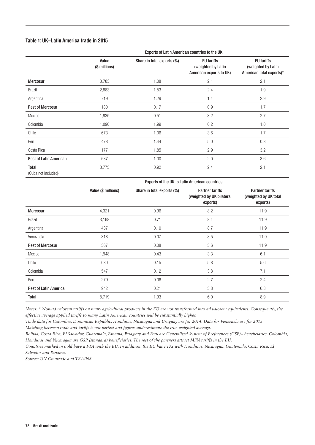#### Table 1: UK–Latin America trade in 2015

|                               | Exports of Latin American countries to the UK |                            |                                                                    |                                                                     |  |  |
|-------------------------------|-----------------------------------------------|----------------------------|--------------------------------------------------------------------|---------------------------------------------------------------------|--|--|
|                               | Value<br>(\$ millions)                        | Share in total exports (%) | <b>EU</b> tariffs<br>(weighted by Latin<br>American exports to UK) | <b>EU tariffs</b><br>(weighted by Latin<br>American total exports)* |  |  |
| <b>Mercosur</b>               | 3,783                                         | 1.08                       | 2.1                                                                | 2.1                                                                 |  |  |
| <b>Brazil</b>                 | 2,883                                         | 1.53                       | 2.4                                                                | 1.9                                                                 |  |  |
| Argentina                     | 719                                           | 1.29                       | 1.4                                                                | 2.9                                                                 |  |  |
| <b>Rest of Mercosur</b>       | 180                                           | 0.17                       | 0.9                                                                | 1.7                                                                 |  |  |
| Mexico                        | 1,935                                         | 0.51                       | 3.2                                                                | 2.7                                                                 |  |  |
| Colombia                      | 1,090                                         | 1.99                       | 0.2                                                                | 1.0                                                                 |  |  |
| Chile                         | 673                                           | 1.06                       | 3.6                                                                | 1.7                                                                 |  |  |
| Peru                          | 478                                           | 1.44                       | 5.0                                                                | 0.8                                                                 |  |  |
| Costa Rica                    | 177                                           | 1.85                       | 2.9                                                                | 3.2                                                                 |  |  |
| <b>Rest of Latin American</b> | 637                                           | 1.00                       | 2.0                                                                | 3.6                                                                 |  |  |
| Total<br>(Cuba not included)  | 8,775                                         | 0.92                       | 2.4                                                                | 2.1                                                                 |  |  |

|                              | Exports of the UK to Latin American countries |                            |                                                                 |                                                             |  |  |
|------------------------------|-----------------------------------------------|----------------------------|-----------------------------------------------------------------|-------------------------------------------------------------|--|--|
|                              | Value (\$ millions)                           | Share in total exports (%) | <b>Partner tariffs</b><br>(weighted by UK bilateral<br>exports) | <b>Partner tariffs</b><br>(weighted by UK total<br>exports) |  |  |
| Mercosur                     | 4,321                                         | 0.96                       | 8.2                                                             | 11.9                                                        |  |  |
| <b>Brazil</b>                | 3,198                                         | 0.71                       | 8.4                                                             | 11.9                                                        |  |  |
| Argentina                    | 437                                           | 0.10                       | 8.7                                                             | 11.9                                                        |  |  |
| Venezuela                    | 318                                           | 0.07                       | 8.5                                                             | 11.9                                                        |  |  |
| <b>Rest of Mercosur</b>      | 367                                           | 0.08                       | 5.6                                                             | 11.9                                                        |  |  |
| Mexico                       | 1,948                                         | 0.43                       | 3.3                                                             | 6.1                                                         |  |  |
| Chile                        | 680                                           | 0.15                       | 5.8                                                             | 5.6                                                         |  |  |
| Colombia                     | 547                                           | 0.12                       | 3.8                                                             | 7.1                                                         |  |  |
| Peru                         | 279                                           | 0.06                       | 2.7                                                             | 2.4                                                         |  |  |
| <b>Rest of Latin America</b> | 942                                           | 0.21                       | 3.8                                                             | 6.3                                                         |  |  |
| Total                        | 8,719                                         | 1.93                       | 6.0                                                             | 8.9                                                         |  |  |

*Notes: \* Non-ad valorem tariffs on many agricultural products in the EU are not transformed into ad valorem equivalents. Consequently, the effective average applied tariffs to many Latin American countries will be substantially higher.* 

*Trade data for Colombia, Dominican Republic, Honduras, Nicaragua and Uruguay are for 2014. Data for Venezuela are for 2013.* 

*Matching between trade and tariffs is not perfect and figures underestimate the true weighted average.*

*Bolivia, Costa Rica, El Salvador, Guatemala, Panama, Paraguay and Peru are Generalized System of Preferences (GSP)+ beneficiaries. Colombia, Honduras and Nicaragua are GSP (standard) beneficiaries. The rest of the partners attract MFN tariffs in the EU.*

*Countries marked in bold have a FTA with the EU. In addition, the EU has FTAs with Honduras, Nicaragua, Guatemala, Costa Rica, El Salvador and Panama.* 

*Source: UN Comtrade and TRAINS.*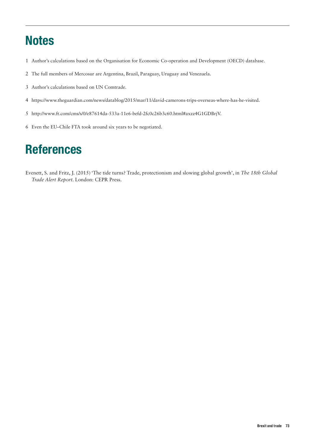## **Notes**

- 1 Author's calculations based on the Organisation for Economic Co-operation and Development (OECD) database.
- 2 The full members of Mercosur are Argentina, Brazil, Paraguay, Uruguay and Venezuela.
- 3 Author's calculations based on UN Comtrade.
- 4 [https://www.theguardian.com/news/datablog/2015/mar/11/david-camerons-trips-overseas-where-has-he-visited.](https://www.theguardian.com/news/datablog/2015/mar/11/david-camerons-trips-overseas-where-has-he-visited)
- 5 http://www.ft.com/cms/s/0/e87614da-533a-11e6-befd-2fc0c26b3c60.html#axzz4G1GDBrjV.
- 6 Even the EU–Chile FTA took around six years to be negotiated.

## **References**

Evenett, S. and Fritz, J. (2015) 'The tide turns? Trade, protectionism and slowing global growth', in *The 18th Global Trade Alert Report*. London: CEPR Press.